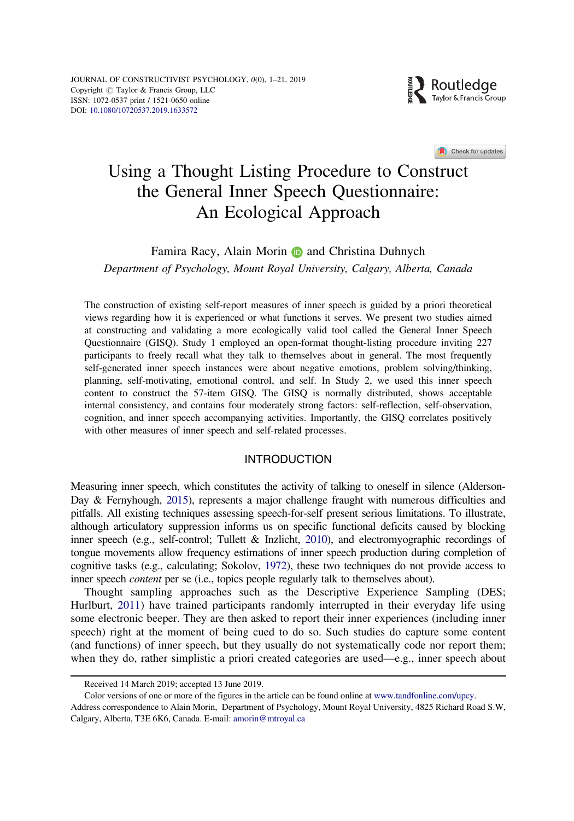

Check for updates

# <span id="page-0-0"></span>Using a Thought Listing Procedure to Construct the General Inner Speech Questionnaire: An Ecological Approach

## Famira Racy, Alain Morin **and Christina Duhnych**

Department of Psychology, Mount Royal University, Calgary, Alberta, Canada

The construction of existing self-report measures of inner speech is guided by a priori theoretical views regarding how it is experienced or what functions it serves. We present two studies aimed at constructing and validating a more ecologically valid tool called the General Inner Speech Questionnaire (GISQ). Study 1 employed an open-format thought-listing procedure inviting 227 participants to freely recall what they talk to themselves about in general. The most frequently self-generated inner speech instances were about negative emotions, problem solving/thinking, planning, self-motivating, emotional control, and self. In Study 2, we used this inner speech content to construct the 57-item GISQ. The GISQ is normally distributed, shows acceptable internal consistency, and contains four moderately strong factors: self-reflection, self-observation, cognition, and inner speech accompanying activities. Importantly, the GISQ correlates positively with other measures of inner speech and self-related processes.

## **INTRODUCTION**

Measuring inner speech, which constitutes the activity of talking to oneself in silence (Alderson-Day & Fernyhough, [2015](#page-17-0)), represents a major challenge fraught with numerous difficulties and pitfalls. All existing techniques assessing speech-for-self present serious limitations. To illustrate, although articulatory suppression informs us on specific functional deficits caused by blocking inner speech (e.g., self-control; Tullett & Inzlicht, [2010](#page-19-0)), and electromyographic recordings of tongue movements allow frequency estimations of inner speech production during completion of cognitive tasks (e.g., calculating; Sokolov, [1972\)](#page-19-0), these two techniques do not provide access to inner speech *content* per se (i.e., topics people regularly talk to themselves about).

Thought sampling approaches such as the Descriptive Experience Sampling (DES; Hurlburt, [2011](#page-18-0)) have trained participants randomly interrupted in their everyday life using some electronic beeper. They are then asked to report their inner experiences (including inner speech) right at the moment of being cued to do so. Such studies do capture some content (and functions) of inner speech, but they usually do not systematically code nor report them; when they do, rather simplistic a priori created categories are used—e.g., inner speech about

Received 14 March 2019; accepted 13 June 2019.

Color versions of one or more of the figures in the article can be found online at [www.tandfonline.com/upcy](http://www.tandfonline.com/upcy). Address correspondence to Alain Morin, Department of Psychology, Mount Royal University, 4825 Richard Road S.W, Calgary, Alberta, T3E 6K6, Canada. E-mail: amorin@mtroyal.ca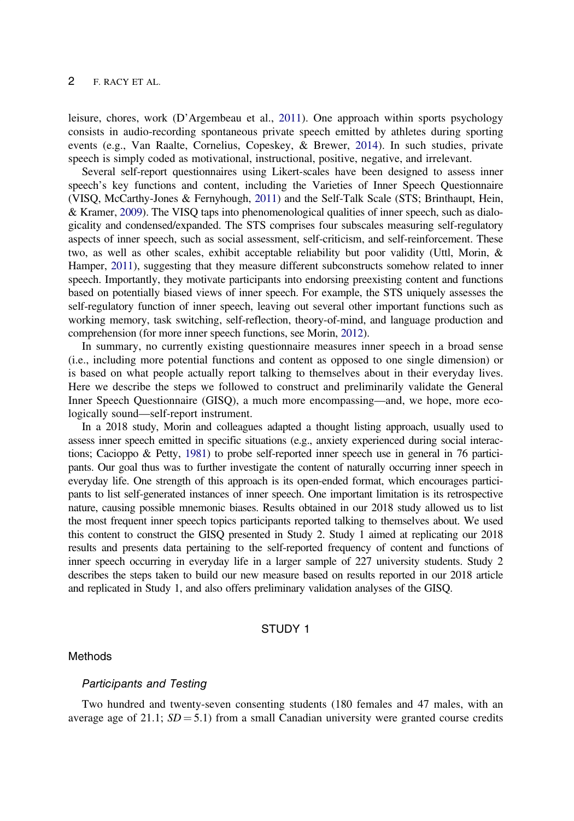<span id="page-1-0"></span>leisure, chores, work (D'Argembeau et al., [2011\)](#page-18-0). One approach within sports psychology consists in audio-recording spontaneous private speech emitted by athletes during sporting events (e.g., Van Raalte, Cornelius, Copeskey, & Brewer, [2014](#page-19-0)). In such studies, private speech is simply coded as motivational, instructional, positive, negative, and irrelevant.

Several self-report questionnaires using Likert-scales have been designed to assess inner speech's key functions and content, including the Varieties of Inner Speech Questionnaire (VISQ, McCarthy-Jones & Fernyhough, [2011](#page-18-0)) and the Self-Talk Scale (STS; Brinthaupt, Hein, & Kramer, [2009\)](#page-17-0). The VISQ taps into phenomenological qualities of inner speech, such as dialogicality and condensed/expanded. The STS comprises four subscales measuring self-regulatory aspects of inner speech, such as social assessment, self-criticism, and self-reinforcement. These two, as well as other scales, exhibit acceptable reliability but poor validity (Uttl, Morin, & Hamper, [2011](#page-19-0)), suggesting that they measure different subconstructs somehow related to inner speech. Importantly, they motivate participants into endorsing preexisting content and functions based on potentially biased views of inner speech. For example, the STS uniquely assesses the self-regulatory function of inner speech, leaving out several other important functions such as working memory, task switching, self-reflection, theory-of-mind, and language production and comprehension (for more inner speech functions, see Morin, [2012\)](#page-18-0).

In summary, no currently existing questionnaire measures inner speech in a broad sense (i.e., including more potential functions and content as opposed to one single dimension) or is based on what people actually report talking to themselves about in their everyday lives. Here we describe the steps we followed to construct and preliminarily validate the General Inner Speech Questionnaire (GISQ), a much more encompassing—and, we hope, more ecologically sound—self-report instrument.

In a 2018 study, Morin and colleagues adapted a thought listing approach, usually used to assess inner speech emitted in specific situations (e.g., anxiety experienced during social interactions; Cacioppo & Petty, [1981\)](#page-18-0) to probe self-reported inner speech use in general in 76 participants. Our goal thus was to further investigate the content of naturally occurring inner speech in everyday life. One strength of this approach is its open-ended format, which encourages participants to list self-generated instances of inner speech. One important limitation is its retrospective nature, causing possible mnemonic biases. Results obtained in our 2018 study allowed us to list the most frequent inner speech topics participants reported talking to themselves about. We used this content to construct the GISQ presented in Study 2. Study 1 aimed at replicating our 2018 results and presents data pertaining to the self-reported frequency of content and functions of inner speech occurring in everyday life in a larger sample of 227 university students. Study 2 describes the steps taken to build our new measure based on results reported in our 2018 article and replicated in Study 1, and also offers preliminary validation analyses of the GISQ.

## STUDY 1

#### Methods

#### Participants and Testing

Two hundred and twenty-seven consenting students (180 females and 47 males, with an average age of 21.1;  $SD = 5.1$ ) from a small Canadian university were granted course credits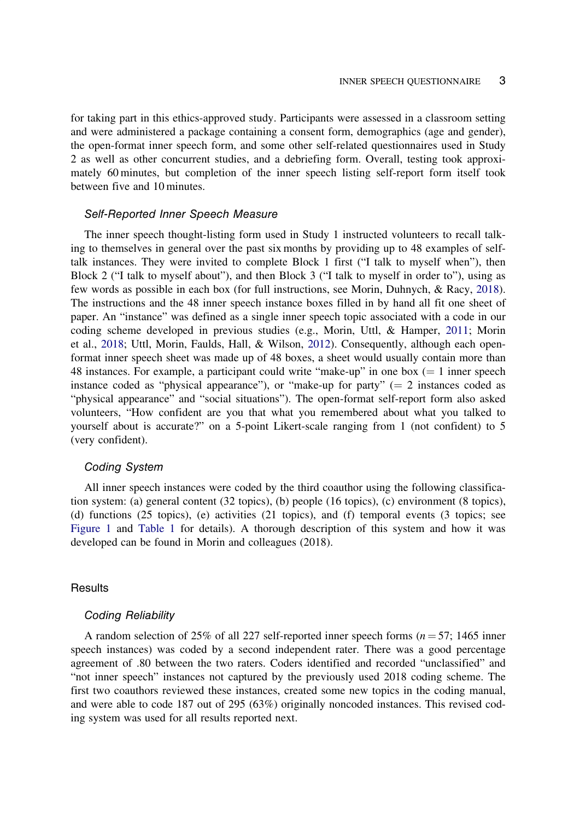<span id="page-2-0"></span>for taking part in this ethics-approved study. Participants were assessed in a classroom setting and were administered a package containing a consent form, demographics (age and gender), the open-format inner speech form, and some other self-related questionnaires used in Study 2 as well as other concurrent studies, and a debriefing form. Overall, testing took approximately 60 minutes, but completion of the inner speech listing self-report form itself took between five and 10 minutes.

## Self-Reported Inner Speech Measure

The inner speech thought-listing form used in Study 1 instructed volunteers to recall talking to themselves in general over the past six months by providing up to 48 examples of selftalk instances. They were invited to complete Block 1 first ("I talk to myself when"), then Block 2 ("I talk to myself about"), and then Block 3 ("I talk to myself in order to"), using as few words as possible in each box (for full instructions, see Morin, Duhnych, & Racy, [2018](#page-18-0)). The instructions and the 48 inner speech instance boxes filled in by hand all fit one sheet of paper. An "instance" was defined as a single inner speech topic associated with a code in our coding scheme developed in previous studies (e.g., Morin, Uttl, & Hamper, [2011](#page-18-0); Morin et al., [2018;](#page-18-0) Uttl, Morin, Faulds, Hall, & Wilson, [2012](#page-19-0)). Consequently, although each openformat inner speech sheet was made up of 48 boxes, a sheet would usually contain more than 48 instances. For example, a participant could write "make-up" in one box  $(= 1)$  inner speech instance coded as "physical appearance"), or "make-up for party"  $(= 2 \text{ instances coded as } )$ "physical appearance" and "social situations"). The open-format self-report form also asked volunteers, "How confident are you that what you remembered about what you talked to yourself about is accurate?" on a 5-point Likert-scale ranging from 1 (not confident) to 5 (very confident).

## Coding System

All inner speech instances were coded by the third coauthor using the following classification system: (a) general content (32 topics), (b) people (16 topics), (c) environment (8 topics), (d) functions (25 topics), (e) activities (21 topics), and (f) temporal events (3 topics; see [Figure 1](#page-3-0) and [Table 1](#page-4-0) for details). A thorough description of this system and how it was developed can be found in Morin and colleagues (2018).

## **Results**

#### Coding Reliability

A random selection of 25% of all 227 self-reported inner speech forms ( $n = 57$ ; 1465 inner speech instances) was coded by a second independent rater. There was a good percentage agreement of .80 between the two raters. Coders identified and recorded "unclassified" and "not inner speech" instances not captured by the previously used 2018 coding scheme. The first two coauthors reviewed these instances, created some new topics in the coding manual, and were able to code 187 out of 295 (63%) originally noncoded instances. This revised coding system was used for all results reported next.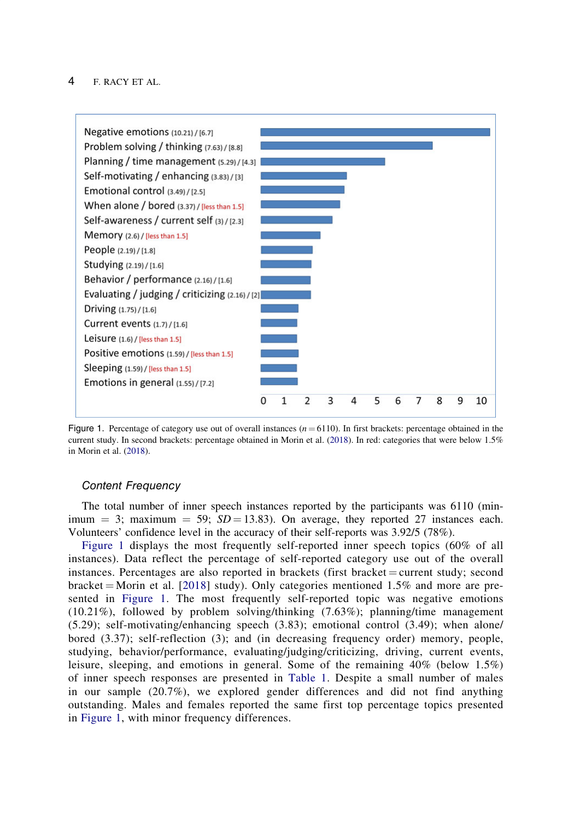<span id="page-3-0"></span>

Figure 1. Percentage of category use out of overall instances  $(n = 6110)$ . In first brackets: percentage obtained in the current study. In second brackets: percentage obtained in Morin et al. ([2018\)](#page-18-0). In red: categories that were below 1.5% in Morin et al. [\(2018](#page-18-0)).

## Content Frequency

The total number of inner speech instances reported by the participants was 6110 (minimum = 3; maximum = 59;  $SD = 13.83$ ). On average, they reported 27 instances each. Volunteers' confidence level in the accuracy of their self-reports was 3.92/5 (78%).

Figure 1 displays the most frequently self-reported inner speech topics (60% of all instances). Data reflect the percentage of self-reported category use out of the overall instances. Percentages are also reported in brackets (first bracket  $=$  current study; second bracket = Morin et al. [\[2018](#page-18-0)] study). Only categories mentioned 1.5% and more are presented in Figure 1. The most frequently self-reported topic was negative emotions (10.21%), followed by problem solving/thinking (7.63%); planning/time management (5.29); self-motivating/enhancing speech (3.83); emotional control (3.49); when alone/ bored (3.37); self-reflection (3); and (in decreasing frequency order) memory, people, studying, behavior/performance, evaluating/judging/criticizing, driving, current events, leisure, sleeping, and emotions in general. Some of the remaining 40% (below 1.5%) of inner speech responses are presented in [Table 1](#page-4-0). Despite a small number of males in our sample (20.7%), we explored gender differences and did not find anything outstanding. Males and females reported the same first top percentage topics presented in Figure 1, with minor frequency differences.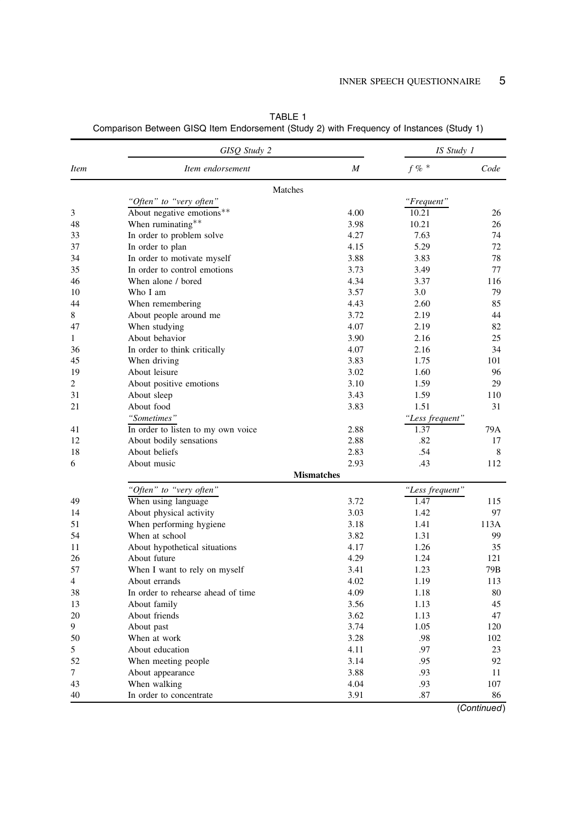|             | GISO Study 2                       |                   | IS Study 1              |      |
|-------------|------------------------------------|-------------------|-------------------------|------|
| <i>Item</i> | Item endorsement                   | M                 | $f \%$ *                | Code |
|             | Matches                            |                   |                         |      |
|             | "Often" to "very often"            |                   | "Frequent"              |      |
| 3           | About negative emotions**          | 4.00              | 10.21                   | 26   |
| 48          | When ruminating**                  | 3.98              | 10.21                   | 26   |
| 33          | In order to problem solve          | 4.27              | 7.63                    | 74   |
| 37          | In order to plan                   | 4.15              | 5.29                    | 72   |
| 34          | In order to motivate myself        | 3.88              | 3.83                    | 78   |
| 35          | In order to control emotions       | 3.73              | 3.49                    | 77   |
| 46          | When alone / bored                 | 4.34              | 3.37                    | 116  |
| 10          | Who I am                           | 3.57              | 3.0                     | 79   |
| 44          | When remembering                   | 4.43              | 2.60                    | 85   |
| 8           | About people around me             | 3.72              | 2.19                    | 44   |
| 47          | When studying                      | 4.07              | 2.19                    | 82   |
| 1           | About behavior                     | 3.90              | 2.16                    | 25   |
| 36          | In order to think critically       | 4.07              | 2.16                    | 34   |
| 45          | When driving                       | 3.83              | 1.75                    | 101  |
| 19          | About leisure                      | 3.02              | 1.60                    | 96   |
| 2           | About positive emotions            | 3.10              | 1.59                    | 29   |
| 31          | About sleep                        | 3.43              | 1.59                    | 110  |
| 21          | About food                         | 3.83              | 1.51                    | 31   |
|             | "Sometimes"                        |                   |                         |      |
| 41          | In order to listen to my own voice | 2.88              | "Less frequent"<br>1.37 | 79A  |
| 12          |                                    | 2.88              | .82                     | 17   |
|             | About bodily sensations            |                   | .54                     |      |
| 18          | About beliefs                      | 2.83<br>2.93      | .43                     | 8    |
| 6           | About music                        | <b>Mismatches</b> |                         | 112  |
|             | "Often" to "very often"            |                   | "Less frequent"         |      |
| 49          | When using language                | 3.72              | 1.47                    | 115  |
| 14          | About physical activity            | 3.03              | 1.42                    | 97   |
| 51          | When performing hygiene            | 3.18              | 1.41                    | 113A |
| 54          | When at school                     | 3.82              | 1.31                    | 99   |
| 11          | About hypothetical situations      | 4.17              | 1.26                    | 35   |
| 26          | About future                       | 4.29              | 1.24                    | 121  |
| 57          | When I want to rely on myself      | 3.41              | 1.23                    | 79B  |
| 4           | About errands                      | 4.02              | 1.19                    | 113  |
| 38          | In order to rehearse ahead of time | 4.09              | 1.18                    | 80   |
|             |                                    |                   | 1.13                    | 45   |
| 13<br>20    | About family                       | 3.56<br>3.62      | 1.13                    | 47   |
| 9           | About friends                      | 3.74              | 1.05                    | 120  |
|             | About past                         |                   |                         |      |
| 50          | When at work                       | 3.28              | .98                     | 102  |
| 5           | About education                    | 4.11              | .97                     | 23   |
| 52          | When meeting people                | 3.14              | .95                     | 92   |
| 7           | About appearance                   | 3.88              | .93                     | 11   |
| 43          | When walking                       | 4.04              | .93                     | 107  |
| 40          | In order to concentrate            | 3.91              | .87                     | 86   |

<span id="page-4-0"></span>TABLE 1 Comparison Between GISQ Item Endorsement (Study 2) with Frequency of Instances (Study 1)

(Continued)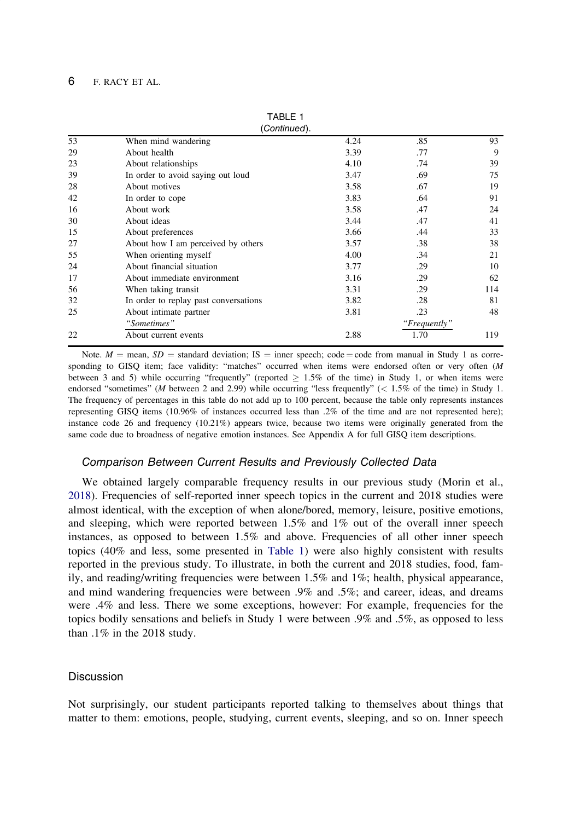|    | (Continued).                          |      |              |     |
|----|---------------------------------------|------|--------------|-----|
| 53 | When mind wandering                   | 4.24 | .85          | 93  |
| 29 | About health                          | 3.39 | .77          | 9   |
| 23 | About relationships                   | 4.10 | .74          | 39  |
| 39 | In order to avoid saying out loud     | 3.47 | .69          | 75  |
| 28 | About motives                         | 3.58 | .67          | 19  |
| 42 | In order to cope                      | 3.83 | .64          | 91  |
| 16 | About work                            | 3.58 | .47          | 24  |
| 30 | About ideas                           | 3.44 | .47          | 41  |
| 15 | About preferences                     | 3.66 | .44          | 33  |
| 27 | About how I am perceived by others    | 3.57 | .38          | 38  |
| 55 | When orienting myself                 | 4.00 | .34          | 21  |
| 24 | About financial situation             | 3.77 | .29          | 10  |
| 17 | About immediate environment           | 3.16 | .29          | 62  |
| 56 | When taking transit                   | 3.31 | .29          | 114 |
| 32 | In order to replay past conversations | 3.82 | .28          | 81  |
| 25 | About intimate partner                | 3.81 | .23          | 48  |
|    | "Sometimes"                           |      | "Frequently" |     |
| 22 | About current events                  | 2.88 | 1.70         | 119 |

TABLE 1

Note.  $M =$  mean,  $SD =$  standard deviation; IS = inner speech; code = code from manual in Study 1 as corresponding to GISQ item; face validity: "matches" occurred when items were endorsed often or very often (M between 3 and 5) while occurring "frequently" (reported  $> 1.5\%$  of the time) in Study 1, or when items were endorsed "sometimes" (M between 2 and 2.99) while occurring "less frequently" (< 1.5% of the time) in Study 1. The frequency of percentages in this table do not add up to 100 percent, because the table only represents instances representing GISQ items (10.96% of instances occurred less than .2% of the time and are not represented here); instance code 26 and frequency (10.21%) appears twice, because two items were originally generated from the same code due to broadness of negative emotion instances. See Appendix A for full GISQ item descriptions.

#### Comparison Between Current Results and Previously Collected Data

We obtained largely comparable frequency results in our previous study (Morin et al., [2018\)](#page-18-0). Frequencies of self-reported inner speech topics in the current and 2018 studies were almost identical, with the exception of when alone/bored, memory, leisure, positive emotions, and sleeping, which were reported between 1.5% and 1% out of the overall inner speech instances, as opposed to between 1.5% and above. Frequencies of all other inner speech topics (40% and less, some presented in [Table 1](#page-4-0)) were also highly consistent with results reported in the previous study. To illustrate, in both the current and 2018 studies, food, family, and reading/writing frequencies were between 1.5% and 1%; health, physical appearance, and mind wandering frequencies were between .9% and .5%; and career, ideas, and dreams were .4% and less. There we some exceptions, however: For example, frequencies for the topics bodily sensations and beliefs in Study 1 were between .9% and .5%, as opposed to less than .1% in the 2018 study.

## Discussion

Not surprisingly, our student participants reported talking to themselves about things that matter to them: emotions, people, studying, current events, sleeping, and so on. Inner speech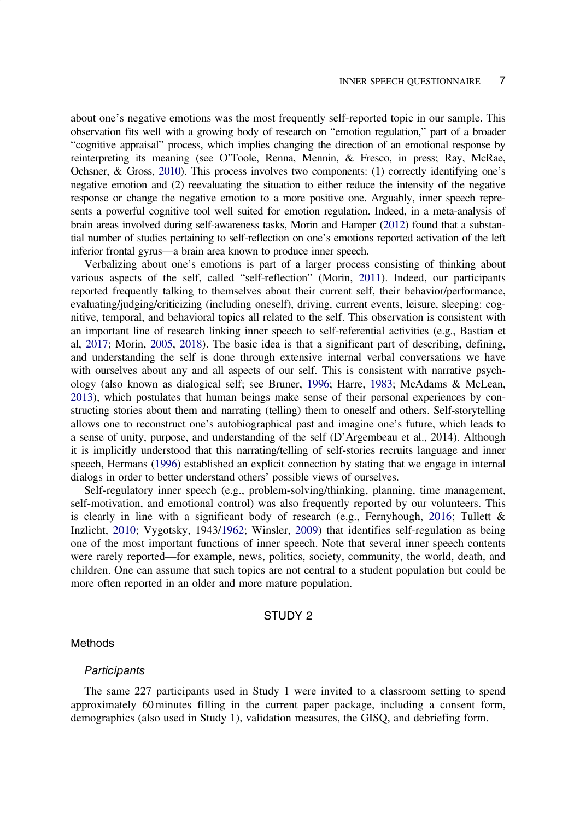<span id="page-6-0"></span>about one's negative emotions was the most frequently self-reported topic in our sample. This observation fits well with a growing body of research on "emotion regulation," part of a broader "cognitive appraisal" process, which implies changing the direction of an emotional response by reinterpreting its meaning (see O'Toole, Renna, Mennin, & Fresco, in press; Ray, McRae, Ochsner, & Gross, [2010\)](#page-19-0). This process involves two components: (1) correctly identifying one's negative emotion and (2) reevaluating the situation to either reduce the intensity of the negative response or change the negative emotion to a more positive one. Arguably, inner speech represents a powerful cognitive tool well suited for emotion regulation. Indeed, in a meta-analysis of brain areas involved during self-awareness tasks, Morin and Hamper ([2012\)](#page-18-0) found that a substantial number of studies pertaining to self-reflection on one's emotions reported activation of the left inferior frontal gyrus—a brain area known to produce inner speech.

Verbalizing about one's emotions is part of a larger process consisting of thinking about various aspects of the self, called "self-reflection" (Morin, [2011\)](#page-18-0). Indeed, our participants reported frequently talking to themselves about their current self, their behavior/performance, evaluating/judging/criticizing (including oneself), driving, current events, leisure, sleeping: cognitive, temporal, and behavioral topics all related to the self. This observation is consistent with an important line of research linking inner speech to self-referential activities (e.g., Bastian et al, [2017;](#page-17-0) Morin, [2005,](#page-18-0) [2018](#page-18-0)). The basic idea is that a significant part of describing, defining, and understanding the self is done through extensive internal verbal conversations we have with ourselves about any and all aspects of our self. This is consistent with narrative psychology (also known as dialogical self; see Bruner, [1996](#page-17-0); Harre, [1983;](#page-18-0) McAdams & McLean, [2013\)](#page-18-0), which postulates that human beings make sense of their personal experiences by constructing stories about them and narrating (telling) them to oneself and others. Self-storytelling allows one to reconstruct one's autobiographical past and imagine one's future, which leads to a sense of unity, purpose, and understanding of the self (D'Argembeau et al., 2014). Although it is implicitly understood that this narrating/telling of self-stories recruits language and inner speech, Hermans ([1996](#page-18-0)) established an explicit connection by stating that we engage in internal dialogs in order to better understand others' possible views of ourselves.

Self-regulatory inner speech (e.g., problem-solving/thinking, planning, time management, self-motivation, and emotional control) was also frequently reported by our volunteers. This is clearly in line with a significant body of research (e.g., Fernyhough, [2016;](#page-18-0) Tullett  $\&$ Inzlicht, [2010](#page-19-0); Vygotsky, 1943[/1962](#page-19-0); Winsler, [2009](#page-19-0)) that identifies self-regulation as being one of the most important functions of inner speech. Note that several inner speech contents were rarely reported—for example, news, politics, society, community, the world, death, and children. One can assume that such topics are not central to a student population but could be more often reported in an older and more mature population.

## STUDY 2

#### **Methods**

#### **Participants**

The same 227 participants used in Study 1 were invited to a classroom setting to spend approximately 60 minutes filling in the current paper package, including a consent form, demographics (also used in Study 1), validation measures, the GISQ, and debriefing form.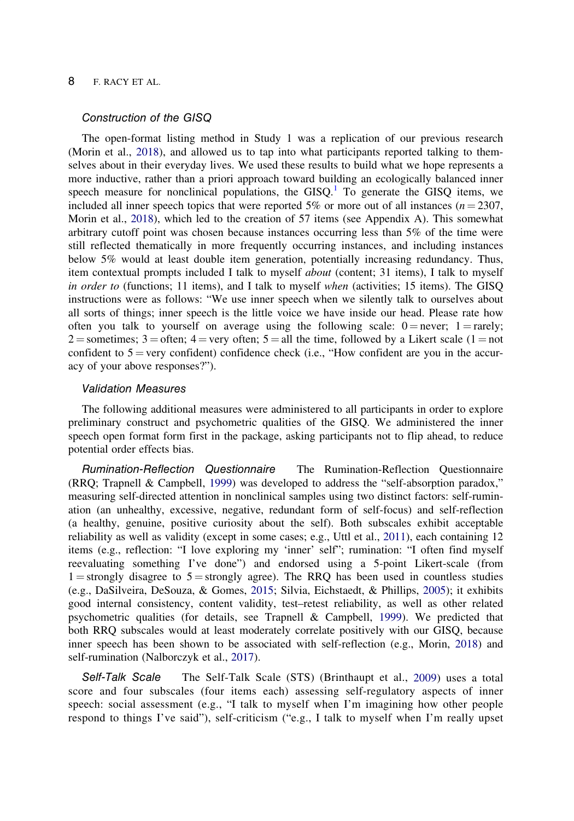## <span id="page-7-0"></span>Construction of the GISQ

The open-format listing method in Study 1 was a replication of our previous research (Morin et al., [2018\)](#page-18-0), and allowed us to tap into what participants reported talking to themselves about in their everyday lives. We used these results to build what we hope represents a more inductive, rather than a priori approach toward building an ecologically balanced inner speech measure for nonclinical populations, the  $GISQ<sup>1</sup>$  $GISQ<sup>1</sup>$  $GISQ<sup>1</sup>$  To generate the GISQ items, we included all inner speech topics that were reported 5% or more out of all instances ( $n = 2307$ , Morin et al., [2018\)](#page-18-0), which led to the creation of 57 items (see Appendix A). This somewhat arbitrary cutoff point was chosen because instances occurring less than 5% of the time were still reflected thematically in more frequently occurring instances, and including instances below 5% would at least double item generation, potentially increasing redundancy. Thus, item contextual prompts included I talk to myself about (content; 31 items), I talk to myself in order to (functions; 11 items), and I talk to myself when (activities; 15 items). The GISQ instructions were as follows: "We use inner speech when we silently talk to ourselves about all sorts of things; inner speech is the little voice we have inside our head. Please rate how often you talk to yourself on average using the following scale:  $0 =$  never; 1 = rarely; 2 = sometimes; 3 = often; 4 = very often; 5 = all the time, followed by a Likert scale (1 = not confident to  $5 = \text{very confident}$  confident) confidence check (i.e., "How confident are you in the accuracy of your above responses?").

## Validation Measures

The following additional measures were administered to all participants in order to explore preliminary construct and psychometric qualities of the GISQ. We administered the inner speech open format form first in the package, asking participants not to flip ahead, to reduce potential order effects bias.

Rumination-Reflection Questionnaire The Rumination-Reflection Questionnaire (RRQ; Trapnell & Campbell, [1999\)](#page-19-0) was developed to address the "self-absorption paradox," measuring self-directed attention in nonclinical samples using two distinct factors: self-rumination (an unhealthy, excessive, negative, redundant form of self-focus) and self-reflection (a healthy, genuine, positive curiosity about the self). Both subscales exhibit acceptable reliability as well as validity (except in some cases; e.g., Uttl et al., [2011](#page-19-0)), each containing 12 items (e.g., reflection: "I love exploring my 'inner' self"; rumination: "I often find myself reevaluating something I've done") and endorsed using a 5-point Likert-scale (from  $1 =$ strongly disagree to  $5 =$ strongly agree). The RRQ has been used in countless studies (e.g., DaSilveira, DeSouza, & Gomes, [2015](#page-18-0); Silvia, Eichstaedt, & Phillips, [2005\)](#page-19-0); it exhibits good internal consistency, content validity, test–retest reliability, as well as other related psychometric qualities (for details, see Trapnell & Campbell, [1999\)](#page-19-0). We predicted that both RRQ subscales would at least moderately correlate positively with our GISQ, because inner speech has been shown to be associated with self-reflection (e.g., Morin, [2018\)](#page-18-0) and self-rumination (Nalborczyk et al., [2017](#page-18-0)).

Self-Talk Scale The Self-Talk Scale (STS) (Brinthaupt et al., [2009\)](#page-17-0) uses a total score and four subscales (four items each) assessing self-regulatory aspects of inner speech: social assessment (e.g., "I talk to myself when I'm imagining how other people respond to things I've said"), self-criticism ("e.g., I talk to myself when I'm really upset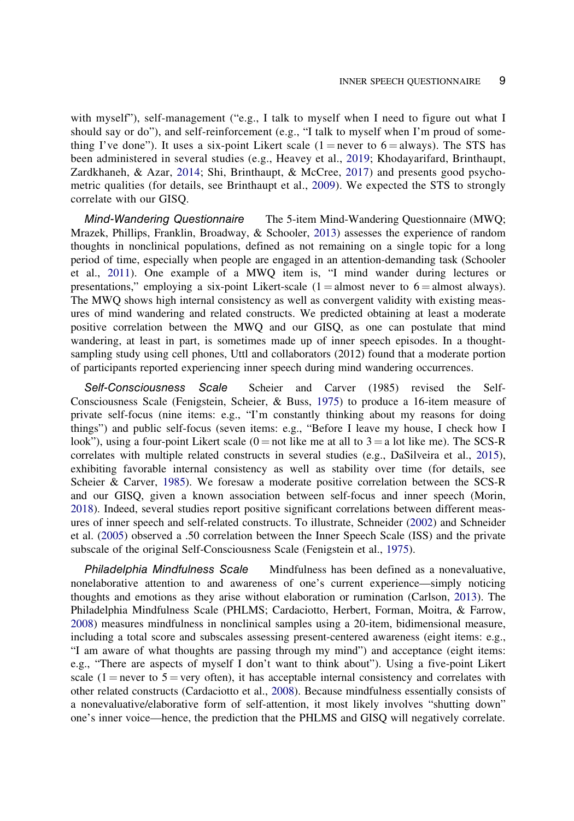<span id="page-8-0"></span>with myself"), self-management ("e.g., I talk to myself when I need to figure out what I should say or do"), and self-reinforcement (e.g., "I talk to myself when I'm proud of something I've done"). It uses a six-point Likert scale  $(1 = never to 6 = always)$ . The STS has been administered in several studies (e.g., Heavey et al., [2019;](#page-18-0) Khodayarifard, Brinthaupt, Zardkhaneh, & Azar, [2014;](#page-18-0) Shi, Brinthaupt, & McCree, [2017](#page-19-0)) and presents good psychometric qualities (for details, see Brinthaupt et al., [2009\)](#page-17-0). We expected the STS to strongly correlate with our GISQ.

Mind-Wandering Questionnaire The 5-item Mind-Wandering Questionnaire (MWQ; Mrazek, Phillips, Franklin, Broadway, & Schooler, [2013\)](#page-18-0) assesses the experience of random thoughts in nonclinical populations, defined as not remaining on a single topic for a long period of time, especially when people are engaged in an attention-demanding task (Schooler et al., [2011\)](#page-19-0). One example of a MWQ item is, "I mind wander during lectures or presentations," employing a six-point Likert-scale  $(1 =$ almost never to  $6 =$ almost always). The MWQ shows high internal consistency as well as convergent validity with existing measures of mind wandering and related constructs. We predicted obtaining at least a moderate positive correlation between the MWQ and our GISQ, as one can postulate that mind wandering, at least in part, is sometimes made up of inner speech episodes. In a thoughtsampling study using cell phones, Uttl and collaborators (2012) found that a moderate portion of participants reported experiencing inner speech during mind wandering occurrences.

Self-Consciousness Scale Scheier and Carver (1985) revised the Self-Consciousness Scale (Fenigstein, Scheier, & Buss, [1975\)](#page-18-0) to produce a 16-item measure of private self-focus (nine items: e.g., "I'm constantly thinking about my reasons for doing things") and public self-focus (seven items: e.g., "Before I leave my house, I check how I look"), using a four-point Likert scale  $(0 = not$  like me at all to  $3 = a$  lot like me). The SCS-R correlates with multiple related constructs in several studies (e.g., DaSilveira et al., [2015](#page-18-0)), exhibiting favorable internal consistency as well as stability over time (for details, see Scheier & Carver, [1985\)](#page-19-0). We foresaw a moderate positive correlation between the SCS-R and our GISQ, given a known association between self-focus and inner speech (Morin, [2018](#page-18-0)). Indeed, several studies report positive significant correlations between different measures of inner speech and self-related constructs. To illustrate, Schneider [\(2002](#page-19-0)) and Schneider et al. ([2005\)](#page-19-0) observed a .50 correlation between the Inner Speech Scale (ISS) and the private subscale of the original Self-Consciousness Scale (Fenigstein et al., [1975](#page-18-0)).

Philadelphia Mindfulness Scale Mindfulness has been defined as a nonevaluative, nonelaborative attention to and awareness of one's current experience—simply noticing thoughts and emotions as they arise without elaboration or rumination (Carlson, [2013\)](#page-17-0). The Philadelphia Mindfulness Scale (PHLMS; Cardaciotto, Herbert, Forman, Moitra, & Farrow, [2008](#page-17-0)) measures mindfulness in nonclinical samples using a 20-item, bidimensional measure, including a total score and subscales assessing present-centered awareness (eight items: e.g., "I am aware of what thoughts are passing through my mind") and acceptance (eight items: e.g., "There are aspects of myself I don't want to think about"). Using a five-point Likert scale (1 = never to 5 = very often), it has acceptable internal consistency and correlates with other related constructs (Cardaciotto et al., [2008](#page-17-0)). Because mindfulness essentially consists of a nonevaluative/elaborative form of self-attention, it most likely involves "shutting down" one's inner voice—hence, the prediction that the PHLMS and GISQ will negatively correlate.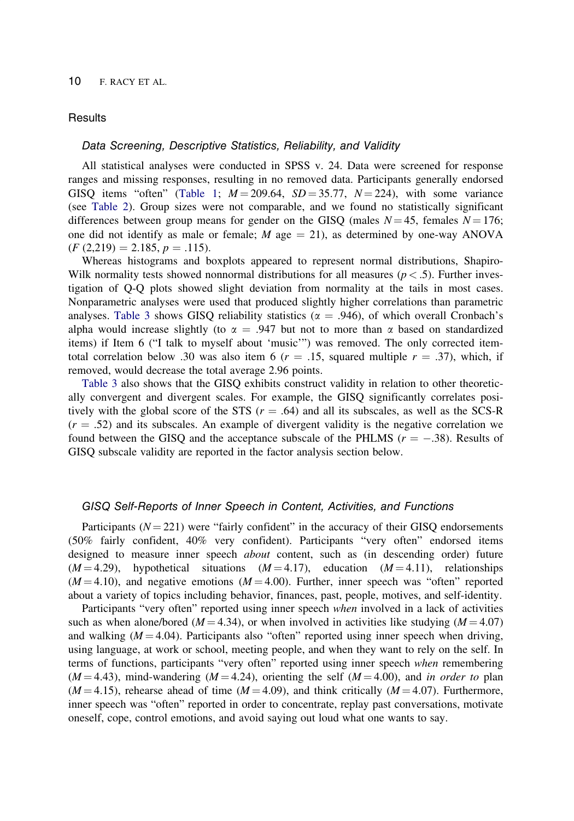## **Results**

## Data Screening, Descriptive Statistics, Reliability, and Validity

All statistical analyses were conducted in SPSS v. 24. Data were screened for response ranges and missing responses, resulting in no removed data. Participants generally endorsed GISO items "often" [\(Table 1](#page-4-0);  $M = 209.64$ ,  $SD = 35.77$ ,  $N = 224$ ), with some variance (see [Table 2\)](#page-10-0). Group sizes were not comparable, and we found no statistically significant differences between group means for gender on the GISQ (males  $N = 45$ , females  $N = 176$ ; one did not identify as male or female;  $M$  age  $= 21$ ), as determined by one-way ANOVA  $(F (2,219) = 2.185, p = .115).$ 

Whereas histograms and boxplots appeared to represent normal distributions, Shapiro-Wilk normality tests showed nonnormal distributions for all measures ( $p < .5$ ). Further investigation of Q-Q plots showed slight deviation from normality at the tails in most cases. Nonparametric analyses were used that produced slightly higher correlations than parametric analyses. [Table 3](#page-11-0) shows GISQ reliability statistics ( $\alpha = .946$ ), of which overall Cronbach's alpha would increase slightly (to  $\alpha = .947$  but not to more than  $\alpha$  based on standardized items) if Item 6 ("I talk to myself about 'music'") was removed. The only corrected itemtotal correlation below .30 was also item 6 ( $r = .15$ , squared multiple  $r = .37$ ), which, if removed, would decrease the total average 2.96 points.

[Table 3](#page-11-0) also shows that the GISQ exhibits construct validity in relation to other theoretically convergent and divergent scales. For example, the GISQ significantly correlates positively with the global score of the STS  $(r = .64)$  and all its subscales, as well as the SCS-R  $(r = .52)$  and its subscales. An example of divergent validity is the negative correlation we found between the GISQ and the acceptance subscale of the PHLMS ( $r = -.38$ ). Results of GISQ subscale validity are reported in the factor analysis section below.

#### GISQ Self-Reports of Inner Speech in Content, Activities, and Functions

Participants  $(N = 221)$  were "fairly confident" in the accuracy of their GISQ endorsements (50% fairly confident, 40% very confident). Participants "very often" endorsed items designed to measure inner speech about content, such as (in descending order) future  $(M = 4.29)$ , hypothetical situations  $(M = 4.17)$ , education  $(M = 4.11)$ , relationships  $(M = 4.10)$ , and negative emotions  $(M = 4.00)$ . Further, inner speech was "often" reported about a variety of topics including behavior, finances, past, people, motives, and self-identity.

Participants "very often" reported using inner speech when involved in a lack of activities such as when alone/bored ( $M = 4.34$ ), or when involved in activities like studying ( $M = 4.07$ ) and walking  $(M = 4.04)$ . Participants also "often" reported using inner speech when driving, using language, at work or school, meeting people, and when they want to rely on the self. In terms of functions, participants "very often" reported using inner speech when remembering  $(M = 4.43)$ , mind-wandering  $(M = 4.24)$ , orienting the self  $(M = 4.00)$ , and in order to plan  $(M = 4.15)$ , rehearse ahead of time  $(M = 4.09)$ , and think critically  $(M = 4.07)$ . Furthermore, inner speech was "often" reported in order to concentrate, replay past conversations, motivate oneself, cope, control emotions, and avoid saying out loud what one wants to say.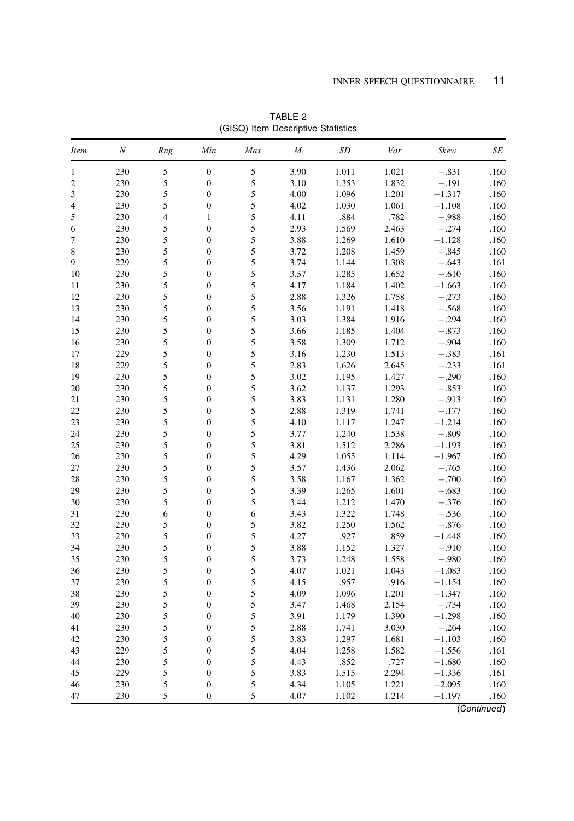<span id="page-10-0"></span>

| <i>Item</i>    | $\cal N$   | Rng                      | Min                                  | Max | $\boldsymbol{M}$ | SD    | Var   | Skew     | SE   |
|----------------|------------|--------------------------|--------------------------------------|-----|------------------|-------|-------|----------|------|
| $\mathbf{1}$   | 230        | 5                        | $\boldsymbol{0}$                     | 5   | 3.90             | 1.011 | 1.021 | $-.831$  | .160 |
| $\mathfrak{2}$ | 230        | 5                        | $\boldsymbol{0}$                     | 5   | 3.10             | 1.353 | 1.832 | $-.191$  | .160 |
| 3              | 230        | 5                        | $\boldsymbol{0}$                     | 5   | 4.00             | 1.096 | 1.201 | $-1.317$ | .160 |
| 4              | 230        | 5                        | $\boldsymbol{0}$                     | 5   | 4.02             | 1.030 | 1.061 | $-1.108$ | .160 |
| 5              | 230        | $\overline{\mathcal{L}}$ | $\mathbf{1}$                         | 5   | 4.11             | .884  | .782  | $-.988$  | .160 |
| 6              | 230        | 5                        | $\boldsymbol{0}$                     | 5   | 2.93             | 1.569 | 2.463 | $-.274$  | .160 |
| 7              | 230        | 5                        | $\overline{0}$                       | 5   | 3.88             | 1.269 | 1.610 | $-1.128$ | .160 |
| 8              | 230        | 5                        | $\boldsymbol{0}$                     | 5   | 3.72             | 1.208 | 1.459 | $-.845$  | .160 |
| 9              | 229        | 5                        | $\boldsymbol{0}$                     | 5   | 3.74             | 1.144 | 1.308 | $-.643$  | .161 |
| 10             | 230        | 5                        | $\boldsymbol{0}$                     | 5   | 3.57             | 1.285 | 1.652 | $-.610$  | .160 |
| 11             | 230        | 5                        | $\boldsymbol{0}$                     | 5   | 4.17             | 1.184 | 1.402 | $-1.663$ | .160 |
| 12             | 230        | 5                        | $\boldsymbol{0}$                     | 5   | 2.88             | 1.326 | 1.758 | $-.273$  | .160 |
| 13             | 230        | 5                        | $\overline{0}$                       | 5   | 3.56             | 1.191 | 1.418 | $-.568$  | .160 |
| 14             | 230        | 5                        | $\boldsymbol{0}$                     | 5   | 3.03             | 1.384 | 1.916 | $-.294$  | .160 |
| 15             | 230        | 5                        | $\boldsymbol{0}$                     | 5   | 3.66             | 1.185 | 1.404 | $-.873$  | .160 |
| 16             | 230        | 5                        | $\boldsymbol{0}$                     | 5   | 3.58             | 1.309 | 1.712 | $-.904$  | .160 |
| 17             | 229        | 5                        | $\boldsymbol{0}$                     | 5   | 3.16             | 1.230 | 1.513 | $-.383$  | .161 |
| 18             | 229        | 5                        | $\boldsymbol{0}$                     | 5   | 2.83             | 1.626 | 2.645 | $-.233$  | .161 |
| 19             | 230        | 5                        | $\boldsymbol{0}$                     | 5   | 3.02             | 1.195 | 1.427 | $-.290$  | .160 |
| 20             | 230        | 5                        | $\boldsymbol{0}$                     | 5   | 3.62             | 1.137 | 1.293 | $-.853$  | .160 |
| 21             | 230        | 5                        | $\overline{0}$                       | 5   | 3.83             | 1.131 | 1.280 | $-.913$  | .160 |
| 22             | 230        | 5                        | $\boldsymbol{0}$                     | 5   | 2.88             | 1.319 | 1.741 | $-.177$  | .160 |
| 23             | 230        | 5                        | $\boldsymbol{0}$                     | 5   | 4.10             | 1.117 | 1.247 | $-1.214$ | .160 |
| 24             | 230        | 5                        | $\boldsymbol{0}$                     | 5   | 3.77             | 1.240 | 1.538 | $-.809$  | .160 |
| 25             | 230        | 5                        | $\boldsymbol{0}$                     | 5   | 3.81             | 1.512 | 2.286 | $-1.193$ | .160 |
| 26             | 230        | 5                        | $\boldsymbol{0}$                     | 5   | 4.29             | 1.055 | 1.114 | $-1.967$ | .160 |
| 27             | 230        | 5                        | $\boldsymbol{0}$                     | 5   | 3.57             | 1.436 | 2.062 | $-.765$  | .160 |
|                |            |                          |                                      | 5   |                  |       |       | $-.700$  |      |
| 28             | 230<br>230 | 5<br>5                   | $\boldsymbol{0}$<br>$\boldsymbol{0}$ | 5   | 3.58<br>3.39     | 1.167 | 1.362 | $-.683$  | .160 |
| 29             |            |                          |                                      |     |                  | 1.265 | 1.601 |          | .160 |
| 30             | 230        | 5                        | $\boldsymbol{0}$                     | 5   | 3.44             | 1.212 | 1.470 | $-.376$  | .160 |
| 31             | 230        | 6                        | $\boldsymbol{0}$                     | 6   | 3.43             | 1.322 | 1.748 | $-.536$  | .160 |
| 32             | 230        | 5                        | $\boldsymbol{0}$                     | 5   | 3.82             | 1.250 | 1.562 | $-.876$  | .160 |
| 33             | 230        | 5                        | $\boldsymbol{0}$                     | 5   | 4.27             | .927  | .859  | $-1.448$ | .160 |
| 34             | 230        | 5                        | $\boldsymbol{0}$                     | 5   | 3.88             | 1.152 | 1.327 | $-.910$  | .160 |
| 35             | 230        | 5                        | $\boldsymbol{0}$                     | 5   | 3.73             | 1.248 | 1.558 | $-.980$  | .160 |
| 36             | 230        | 5                        | $\boldsymbol{0}$                     | 5   | 4.07             | 1.021 | 1.043 | $-1.083$ | .160 |
| 37             | 230        | 5                        | $\boldsymbol{0}$                     | 5   | 4.15             | .957  | .916  | $-1.154$ | .160 |
| 38             | 230        | 5                        | $\boldsymbol{0}$                     | 5   | 4.09             | 1.096 | 1.201 | $-1.347$ | .160 |
| 39             | 230        | 5                        | $\boldsymbol{0}$                     | 5   | 3.47             | 1.468 | 2.154 | $-.734$  | .160 |
| 40             | 230        | 5                        | $\boldsymbol{0}$                     | 5   | 3.91             | 1.179 | 1.390 | $-1.298$ | .160 |
| 41             | 230        | 5                        | $\boldsymbol{0}$                     | 5   | 2.88             | 1.741 | 3.030 | $-.264$  | .160 |
| 42             | 230        | 5                        | $\boldsymbol{0}$                     | 5   | 3.83             | 1.297 | 1.681 | $-1.103$ | .160 |
| 43             | 229        | 5                        | $\boldsymbol{0}$                     | 5   | 4.04             | 1.258 | 1.582 | $-1.556$ | .161 |
| 44             | 230        | 5                        | $\boldsymbol{0}$                     | 5   | 4.43             | .852  | .727  | $-1.680$ | .160 |
| 45             | 229        | 5                        | $\boldsymbol{0}$                     | 5   | 3.83             | 1.515 | 2.294 | $-1.336$ | .161 |
| 46             | 230        | 5                        | $\boldsymbol{0}$                     | 5   | 4.34             | 1.105 | 1.221 | $-2.095$ | .160 |
| 47             | 230        | 5                        | $\overline{0}$                       | 5   | 4.07             | 1.102 | 1.214 | $-1.197$ | .160 |

TABLE 2 (GISQ) Item Descriptive Statistics

(Continued)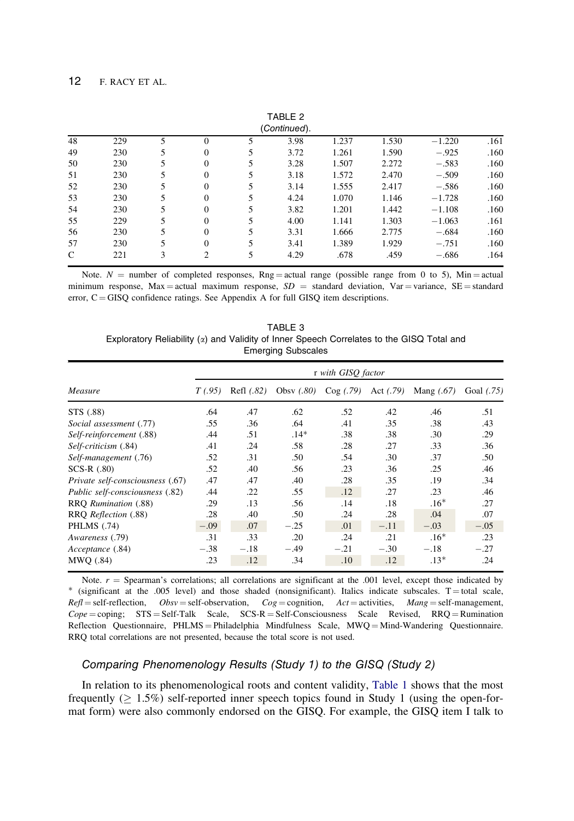<span id="page-11-0"></span>

|              |     |   |          |   | TABLE 2      |       |       |          |      |
|--------------|-----|---|----------|---|--------------|-------|-------|----------|------|
|              |     |   |          |   | (Continued). |       |       |          |      |
| 48           | 229 |   | $\Omega$ |   | 3.98         | 1.237 | 1.530 | $-1.220$ | .161 |
| 49           | 230 | 5 | $\Omega$ |   | 3.72         | 1.261 | 1.590 | $-.925$  | .160 |
| 50           | 230 | 5 | $\Omega$ |   | 3.28         | 1.507 | 2.272 | $-.583$  | .160 |
| 51           | 230 | 5 | $\Omega$ |   | 3.18         | 1.572 | 2.470 | $-.509$  | .160 |
| 52           | 230 |   | $\Omega$ |   | 3.14         | 1.555 | 2.417 | $-.586$  | .160 |
| 53           | 230 | 5 | $\Omega$ |   | 4.24         | 1.070 | 1.146 | $-1.728$ | .160 |
| 54           | 230 | 5 | $\Omega$ |   | 3.82         | 1.201 | 1.442 | $-1.108$ | .160 |
| 55           | 229 | 5 | $\Omega$ |   | 4.00         | 1.141 | 1.303 | $-1.063$ | .161 |
| 56           | 230 | 5 | $\Omega$ |   | 3.31         | 1.666 | 2.775 | $-.684$  | .160 |
| 57           | 230 | 5 | $\Omega$ |   | 3.41         | 1.389 | 1.929 | $-.751$  | .160 |
| $\mathsf{C}$ | 221 | 3 | 2        | 5 | 4.29         | .678  | .459  | $-.686$  | .164 |

Note.  $N =$  number of completed responses, Rng = actual range (possible range from 0 to 5), Min = actual minimum response, Max = actual maximum response,  $SD =$  standard deviation, Var = variance, SE = standard error,  $C = GISQ$  confidence ratings. See Appendix A for full GISQ item descriptions.

|                                                                                             |  | TABLE 3 |                           |  |  |  |
|---------------------------------------------------------------------------------------------|--|---------|---------------------------|--|--|--|
| Exploratory Reliability $(x)$ and Validity of Inner Speech Correlates to the GISQ Total and |  |         |                           |  |  |  |
|                                                                                             |  |         | <b>Emerging Subscales</b> |  |  |  |

|                                  | r with GISQ factor |            |              |          |             |              |            |  |  |  |  |  |
|----------------------------------|--------------------|------------|--------------|----------|-------------|--------------|------------|--|--|--|--|--|
| Measure                          | T(0.95)            | Refl (.82) | Obsy $(.80)$ | Cog(.79) | Act $(.79)$ | Mang $(.67)$ | Goal (.75) |  |  |  |  |  |
| STS (.88)                        | .64                | .47        | .62          | .52      | .42         | .46          | .51        |  |  |  |  |  |
| Social assessment (.77)          | .55                | .36        | .64          | .41      | .35         | .38          | .43        |  |  |  |  |  |
| Self-reinforcement (.88)         | .44                | .51        | $.14*$       | .38      | .38         | .30          | .29        |  |  |  |  |  |
| Self-criticism (.84)             | .41                | .24        | .58          | .28      | .27         | .33          | .36        |  |  |  |  |  |
| Self-management (.76)            | .52                | .31        | .50          | .54      | .30         | .37          | .50        |  |  |  |  |  |
| $SCS-R$ $(.80)$                  | .52                | .40        | .56          | .23      | .36         | .25          | .46        |  |  |  |  |  |
| Private self-consciousness (.67) | .47                | .47        | .40          | .28      | .35         | .19          | .34        |  |  |  |  |  |
| Public self-consciousness (.82)  | .44                | .22        | .55          | .12      | .27         | .23          | .46        |  |  |  |  |  |
| RRQ Rumination (.88)             | .29                | .13        | .56          | .14      | .18         | $.16*$       | .27        |  |  |  |  |  |
| RRQ Reflection (.88)             | .28                | .40        | .50          | .24      | .28         | .04          | .07        |  |  |  |  |  |
| PHLMS (.74)                      | $-.09$             | .07        | $-.25$       | .01      | $-.11$      | $-.03$       | $-.05$     |  |  |  |  |  |
| Awareness (.79)                  | .31                | .33        | .20          | .24      | .21         | $.16*$       | .23        |  |  |  |  |  |
| Acceptance (.84)                 | $-.38$             | $-.18$     | $-.49$       | $-.21$   | $-.30$      | $-.18$       | $-.27$     |  |  |  |  |  |
| MWO (.84)                        | .23                | .12        | .34          | .10      | .12         | $.13*$       | .24        |  |  |  |  |  |

Note.  $r =$  Spearman's correlations; all correlations are significant at the .001 level, except those indicated by \* (significant at the .005 level) and those shaded (nonsignificant). Italics indicate subscales. T = total  $Refl = self-reflection,$   $Obsv = self-observation,$   $Cog = cognition,$   $Act = activities,$   $Mang = self-management,$  $Cope = \text{coping}$ ;  $STS = Self-Talk$  Scale,  $SCS-R = Self-Consciousness$  Scale Revised,  $RRQ =$  Rumination Reflection Questionnaire, PHLMS = Philadelphia Mindfulness Scale, MWQ = Mind-Wandering Questionnaire. RRQ total correlations are not presented, because the total score is not used.

## Comparing Phenomenology Results (Study 1) to the GISQ (Study 2)

In relation to its phenomenological roots and content validity, [Table 1](#page-4-0) shows that the most frequently  $( \geq 1.5\%)$  self-reported inner speech topics found in Study 1 (using the open-format form) were also commonly endorsed on the GISQ. For example, the GISQ item I talk to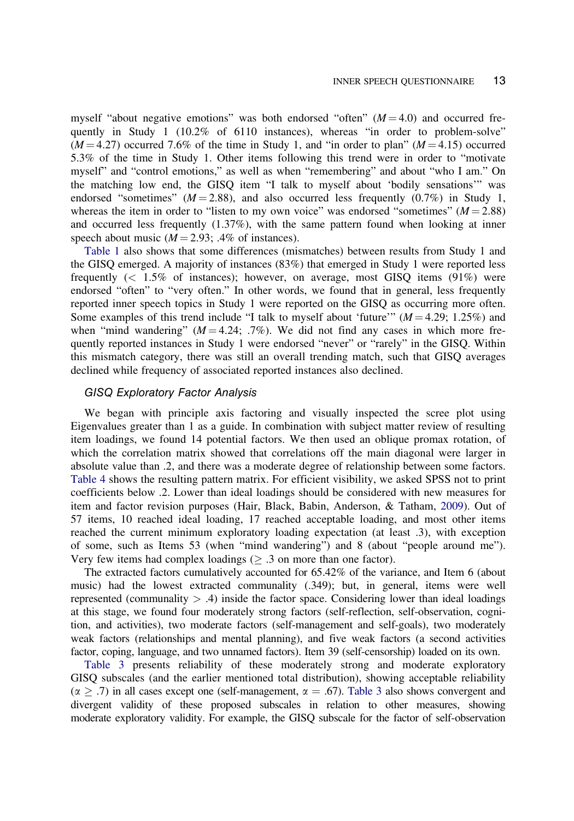<span id="page-12-0"></span>myself "about negative emotions" was both endorsed "often"  $(M = 4.0)$  and occurred frequently in Study 1 (10.2% of 6110 instances), whereas "in order to problem-solve"  $(M = 4.27)$  occurred 7.6% of the time in Study 1, and "in order to plan"  $(M = 4.15)$  occurred 5.3% of the time in Study 1. Other items following this trend were in order to "motivate myself" and "control emotions," as well as when "remembering" and about "who I am." On the matching low end, the GISQ item "I talk to myself about 'bodily sensations'" was endorsed "sometimes" ( $M = 2.88$ ), and also occurred less frequently (0.7%) in Study 1, whereas the item in order to "listen to my own voice" was endorsed "sometimes"  $(M = 2.88)$ and occurred less frequently (1.37%), with the same pattern found when looking at inner speech about music  $(M = 2.93; .4\%$  of instances).

[Table 1](#page-4-0) also shows that some differences (mismatches) between results from Study 1 and the GISQ emerged. A majority of instances (83%) that emerged in Study 1 were reported less frequently (< 1.5% of instances); however, on average, most GISQ items (91%) were endorsed "often" to "very often." In other words, we found that in general, less frequently reported inner speech topics in Study 1 were reported on the GISQ as occurring more often. Some examples of this trend include "I talk to myself about 'future'"  $(M = 4.29; 1.25%)$  and when "mind wandering" ( $M = 4.24$ ; .7%). We did not find any cases in which more frequently reported instances in Study 1 were endorsed "never" or "rarely" in the GISQ. Within this mismatch category, there was still an overall trending match, such that GISQ averages declined while frequency of associated reported instances also declined.

## GISQ Exploratory Factor Analysis

We began with principle axis factoring and visually inspected the scree plot using Eigenvalues greater than 1 as a guide. In combination with subject matter review of resulting item loadings, we found 14 potential factors. We then used an oblique promax rotation, of which the correlation matrix showed that correlations off the main diagonal were larger in absolute value than .2, and there was a moderate degree of relationship between some factors. [Table 4](#page-13-0) shows the resulting pattern matrix. For efficient visibility, we asked SPSS not to print coefficients below .2. Lower than ideal loadings should be considered with new measures for item and factor revision purposes (Hair, Black, Babin, Anderson, & Tatham, [2009\)](#page-18-0). Out of 57 items, 10 reached ideal loading, 17 reached acceptable loading, and most other items reached the current minimum exploratory loading expectation (at least .3), with exception of some, such as Items 53 (when "mind wandering") and 8 (about "people around me"). Very few items had complex loadings  $(\geq .3)$  on more than one factor).

The extracted factors cumulatively accounted for 65.42% of the variance, and Item 6 (about music) had the lowest extracted communality (.349); but, in general, items were well represented (communality  $> .4$ ) inside the factor space. Considering lower than ideal loadings at this stage, we found four moderately strong factors (self-reflection, self-observation, cognition, and activities), two moderate factors (self-management and self-goals), two moderately weak factors (relationships and mental planning), and five weak factors (a second activities factor, coping, language, and two unnamed factors). Item 39 (self-censorship) loaded on its own.

[Table 3](#page-11-0) presents reliability of these moderately strong and moderate exploratory GISQ subscales (and the earlier mentioned total distribution), showing acceptable reliability  $(\alpha > .7)$  in all cases except one (self-management,  $\alpha = .67$ ). [Table 3](#page-11-0) also shows convergent and divergent validity of these proposed subscales in relation to other measures, showing moderate exploratory validity. For example, the GISQ subscale for the factor of self-observation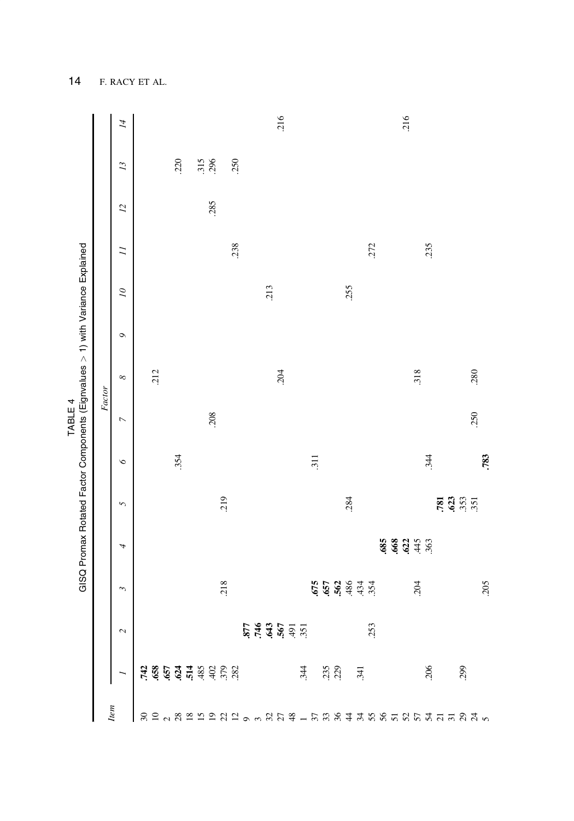<span id="page-13-0"></span>

|     |                                                                                                                                                                                                                                                                                                                                                                                  |                                                                          |                                                             |                |          |         | TABLE 4        | GISQ Promax Rotated Factor Components (Eignvalues > 1) with Variance Explained |               |                |                |                |                 |                |
|-----|----------------------------------------------------------------------------------------------------------------------------------------------------------------------------------------------------------------------------------------------------------------------------------------------------------------------------------------------------------------------------------|--------------------------------------------------------------------------|-------------------------------------------------------------|----------------|----------|---------|----------------|--------------------------------------------------------------------------------|---------------|----------------|----------------|----------------|-----------------|----------------|
|     |                                                                                                                                                                                                                                                                                                                                                                                  |                                                                          |                                                             |                |          |         |                | Factor                                                                         |               |                |                |                |                 |                |
| tem |                                                                                                                                                                                                                                                                                                                                                                                  | $\sim$                                                                   | Σ                                                           | 4              | 5        | $\circ$ | $\overline{a}$ | ${}^{\circ}$                                                                   | $\mathcal{O}$ | $\overline{a}$ | $\overline{I}$ | $\overline{L}$ | $\overline{13}$ | $\overline{A}$ |
|     |                                                                                                                                                                                                                                                                                                                                                                                  |                                                                          |                                                             |                |          |         |                |                                                                                |               |                |                |                |                 |                |
|     |                                                                                                                                                                                                                                                                                                                                                                                  |                                                                          |                                                             |                |          |         |                | 212                                                                            |               |                |                |                |                 |                |
|     |                                                                                                                                                                                                                                                                                                                                                                                  |                                                                          |                                                             |                |          |         |                |                                                                                |               |                |                |                |                 |                |
|     |                                                                                                                                                                                                                                                                                                                                                                                  |                                                                          |                                                             |                |          | .354    |                |                                                                                |               |                |                |                | .220            |                |
|     |                                                                                                                                                                                                                                                                                                                                                                                  |                                                                          |                                                             |                |          |         |                |                                                                                |               |                |                |                |                 |                |
|     |                                                                                                                                                                                                                                                                                                                                                                                  |                                                                          |                                                             |                |          |         |                |                                                                                |               |                |                |                |                 |                |
|     |                                                                                                                                                                                                                                                                                                                                                                                  |                                                                          |                                                             |                |          |         | 208            |                                                                                |               |                |                | 285            | 315<br>296      |                |
|     |                                                                                                                                                                                                                                                                                                                                                                                  |                                                                          | 218                                                         |                | 219      |         |                |                                                                                |               |                |                |                |                 |                |
|     |                                                                                                                                                                                                                                                                                                                                                                                  |                                                                          |                                                             |                |          |         |                |                                                                                |               |                | .238           |                | .250            |                |
|     |                                                                                                                                                                                                                                                                                                                                                                                  |                                                                          |                                                             |                |          |         |                |                                                                                |               |                |                |                |                 |                |
|     |                                                                                                                                                                                                                                                                                                                                                                                  | $\frac{25}{25}$<br>$\frac{25}{25}$<br>$\frac{25}{25}$<br>$\frac{25}{25}$ |                                                             |                |          |         |                |                                                                                |               |                |                |                |                 |                |
|     |                                                                                                                                                                                                                                                                                                                                                                                  |                                                                          |                                                             |                |          |         |                |                                                                                |               | 213            |                |                |                 |                |
|     |                                                                                                                                                                                                                                                                                                                                                                                  |                                                                          |                                                             |                |          |         |                | 204                                                                            |               |                |                |                |                 | .216           |
|     |                                                                                                                                                                                                                                                                                                                                                                                  |                                                                          |                                                             |                |          |         |                |                                                                                |               |                |                |                |                 |                |
|     |                                                                                                                                                                                                                                                                                                                                                                                  |                                                                          |                                                             |                |          |         |                |                                                                                |               |                |                |                |                 |                |
|     |                                                                                                                                                                                                                                                                                                                                                                                  |                                                                          |                                                             |                |          | 311     |                |                                                                                |               |                |                |                |                 |                |
|     |                                                                                                                                                                                                                                                                                                                                                                                  |                                                                          |                                                             |                |          |         |                |                                                                                |               |                |                |                |                 |                |
|     |                                                                                                                                                                                                                                                                                                                                                                                  |                                                                          |                                                             |                |          |         |                |                                                                                |               |                |                |                |                 |                |
|     |                                                                                                                                                                                                                                                                                                                                                                                  |                                                                          |                                                             |                | .284     |         |                |                                                                                |               | .255           |                |                |                 |                |
|     |                                                                                                                                                                                                                                                                                                                                                                                  |                                                                          | $657$<br>$652$<br>$654$<br>$654$<br>$654$<br>$654$<br>$654$ |                |          |         |                |                                                                                |               |                |                |                |                 |                |
|     |                                                                                                                                                                                                                                                                                                                                                                                  | $\sim$<br>25                                                             |                                                             |                |          |         |                |                                                                                |               |                | .272           |                |                 |                |
|     |                                                                                                                                                                                                                                                                                                                                                                                  |                                                                          |                                                             |                |          |         |                |                                                                                |               |                |                |                |                 |                |
|     | $\begin{array}{ c c c c c c c c } \hline \texttt{3.63}\ \texttt{3.64}\ \texttt{4.7}\ \texttt{5.63}\ \texttt{6.7}\ \texttt{7.7}\ \texttt{8.8}\ \texttt{9.7}\ \texttt{10.7}\ \texttt{11.7}\ \texttt{12.7}\ \texttt{13.7}\ \texttt{24.7}\ \texttt{35.7}\ \texttt{46.7}\ \texttt{57.7}\ \texttt{68.7}\ \texttt{78.7}\ \texttt{89.7}\ \texttt{90.7}\ \texttt{11.7}\ \texttt{12.7}\ \$ |                                                                          |                                                             | <b>8882488</b> |          |         |                |                                                                                |               |                |                |                |                 | 216            |
|     |                                                                                                                                                                                                                                                                                                                                                                                  |                                                                          | 204                                                         |                |          |         |                | 318                                                                            |               |                |                |                |                 |                |
|     |                                                                                                                                                                                                                                                                                                                                                                                  |                                                                          |                                                             |                |          | 344     |                |                                                                                |               |                | .235           |                |                 |                |
|     |                                                                                                                                                                                                                                                                                                                                                                                  |                                                                          |                                                             |                |          |         |                |                                                                                |               |                |                |                |                 |                |
|     |                                                                                                                                                                                                                                                                                                                                                                                  |                                                                          |                                                             |                | នុង្គន្ល |         |                |                                                                                |               |                |                |                |                 |                |
|     |                                                                                                                                                                                                                                                                                                                                                                                  |                                                                          |                                                             |                |          |         |                |                                                                                |               |                |                |                |                 |                |
|     |                                                                                                                                                                                                                                                                                                                                                                                  |                                                                          |                                                             |                |          |         | 250            | 280                                                                            |               |                |                |                |                 |                |
|     |                                                                                                                                                                                                                                                                                                                                                                                  |                                                                          | 205                                                         |                |          | .783    |                |                                                                                |               |                |                |                |                 |                |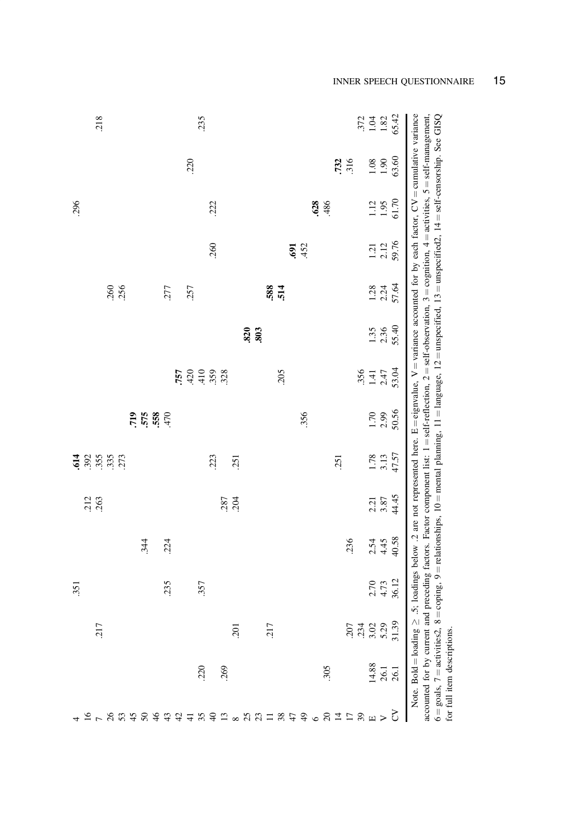| 218          |                    |                         |      |    |                                                    | 235  |      |      |      |      |     |     |                                                                                                                                                                                                    |     |      |     |      |      |            |                                      | $372$<br>1.92<br>1.82 |              | 65.42 |                                                                                                                                                                                                                                                                                                                                                                                                                                                                                                                                                                                                    |                             |
|--------------|--------------------|-------------------------|------|----|----------------------------------------------------|------|------|------|------|------|-----|-----|----------------------------------------------------------------------------------------------------------------------------------------------------------------------------------------------------|-----|------|-----|------|------|------------|--------------------------------------|-----------------------|--------------|-------|----------------------------------------------------------------------------------------------------------------------------------------------------------------------------------------------------------------------------------------------------------------------------------------------------------------------------------------------------------------------------------------------------------------------------------------------------------------------------------------------------------------------------------------------------------------------------------------------------|-----------------------------|
|              |                    |                         |      |    | .220                                               |      |      |      |      |      |     |     |                                                                                                                                                                                                    |     |      |     |      |      | 732<br>316 |                                      | $1.08\,$              | $1.90\,$     | 63.60 |                                                                                                                                                                                                                                                                                                                                                                                                                                                                                                                                                                                                    |                             |
| 296          |                    |                         |      |    |                                                    |      | 222  |      |      |      |     |     |                                                                                                                                                                                                    |     |      | 628 | .486 |      |            |                                      | 1.12                  | 1.95         | 61.70 | Note. Bold = loading $\geq 0.5$ ; loadings below .2 are not represented here. E = eignvalue, V = variance accounted for by each factor, CV = cumulative variance<br>accounted for by current and preceding factors. Factor component list: $1 = \text{self-reflection}, 2 = \text{self-observation}, 3 = \text{cognition}, 4 = \text{activityities}, 5 = \text{self-management},$<br>$8 = \text{coping}$ , $9 = \text{relationship}$ , $10 = \text{mental planning}$ , $11 = \text{language}$ , $12 = \text{unspecified}$ , $13 = \text{unspecified}$ , $14 = \text{self-censorship}$ , $See$ GISQ |                             |
|              |                    |                         |      |    |                                                    |      | 260  |      |      |      |     |     |                                                                                                                                                                                                    | 691 | .452 |     |      |      |            |                                      | $1.21$<br>$2.12$      |              | 59.76 |                                                                                                                                                                                                                                                                                                                                                                                                                                                                                                                                                                                                    |                             |
|              | $.260$<br>$.256$   |                         | .277 |    | .257                                               |      |      |      |      |      |     | 588 | 514                                                                                                                                                                                                |     |      |     |      |      |            |                                      | 1.28                  | 2.24         | 57.64 |                                                                                                                                                                                                                                                                                                                                                                                                                                                                                                                                                                                                    |                             |
|              |                    |                         |      |    |                                                    |      |      |      |      | .820 | 803 |     |                                                                                                                                                                                                    |     |      |     |      |      |            |                                      | 1.35                  | 2.36         | 55.40 |                                                                                                                                                                                                                                                                                                                                                                                                                                                                                                                                                                                                    |                             |
|              |                    |                         |      |    | $757$<br>$730$<br>$730$<br>$758$<br>$738$<br>$758$ |      |      |      |      |      |     |     | 205                                                                                                                                                                                                |     |      |     |      |      |            | .356                                 | $1.41$<br>2.47        |              | 53.04 |                                                                                                                                                                                                                                                                                                                                                                                                                                                                                                                                                                                                    |                             |
|              |                    | 719<br>575<br>68<br>570 |      |    |                                                    |      |      |      |      |      |     |     |                                                                                                                                                                                                    |     | 356  |     |      |      |            |                                      | 1.70                  | 2.99         | 50.56 |                                                                                                                                                                                                                                                                                                                                                                                                                                                                                                                                                                                                    |                             |
| 614          | 355<br>355<br>3573 |                         |      |    |                                                    |      | .223 |      | .251 |      |     |     |                                                                                                                                                                                                    |     |      |     |      | .251 |            |                                      | 1.78                  |              | 47.57 |                                                                                                                                                                                                                                                                                                                                                                                                                                                                                                                                                                                                    |                             |
| .212<br>.263 |                    |                         |      |    |                                                    |      |      | .287 | .204 |      |     |     |                                                                                                                                                                                                    |     |      |     |      |      |            |                                      |                       | 2.21<br>3.87 | 44.45 |                                                                                                                                                                                                                                                                                                                                                                                                                                                                                                                                                                                                    |                             |
|              |                    | 344                     | .224 |    |                                                    |      |      |      |      |      |     |     |                                                                                                                                                                                                    |     |      |     |      |      | .236       |                                      | 2.54                  | 4.45         | 40.58 |                                                                                                                                                                                                                                                                                                                                                                                                                                                                                                                                                                                                    |                             |
| .351         |                    |                         | .235 |    |                                                    | 357  |      |      |      |      |     |     |                                                                                                                                                                                                    |     |      |     |      |      |            |                                      | 2.70<br>4.73          |              | 36.12 |                                                                                                                                                                                                                                                                                                                                                                                                                                                                                                                                                                                                    |                             |
| 217          |                    |                         |      |    |                                                    |      |      |      | 201  |      |     | 217 |                                                                                                                                                                                                    |     |      |     |      |      |            | 207<br>3.34<br>3.39<br>5.39<br>31.39 |                       |              |       |                                                                                                                                                                                                                                                                                                                                                                                                                                                                                                                                                                                                    |                             |
|              |                    |                         |      |    |                                                    | .220 |      | 269  |      |      |     |     |                                                                                                                                                                                                    |     |      |     | 305  |      |            |                                      | $\frac{14.88}{26.1}$  |              |       | $6 =$ goals, $7 =$ activities2, $3$                                                                                                                                                                                                                                                                                                                                                                                                                                                                                                                                                                | for full item descriptions. |
|              | $1 - 89484$        |                         | 43   | 42 | $\overline{4}$                                     | 35   |      |      |      |      |     |     | $\mathbb{C}\otimes \mathbb{C} \otimes \mathbb{C} \cong \mathbb{C} \otimes \mathbb{C} \oplus \mathbb{C} \otimes \mathbb{C} \cong \mathbb{C} \otimes \mathbb{C} \cong \mathbb{C} \otimes \mathbb{C}$ |     |      |     |      |      |            |                                      |                       |              |       |                                                                                                                                                                                                                                                                                                                                                                                                                                                                                                                                                                                                    |                             |

# INNER SPEECH QUESTIONNAIRE 15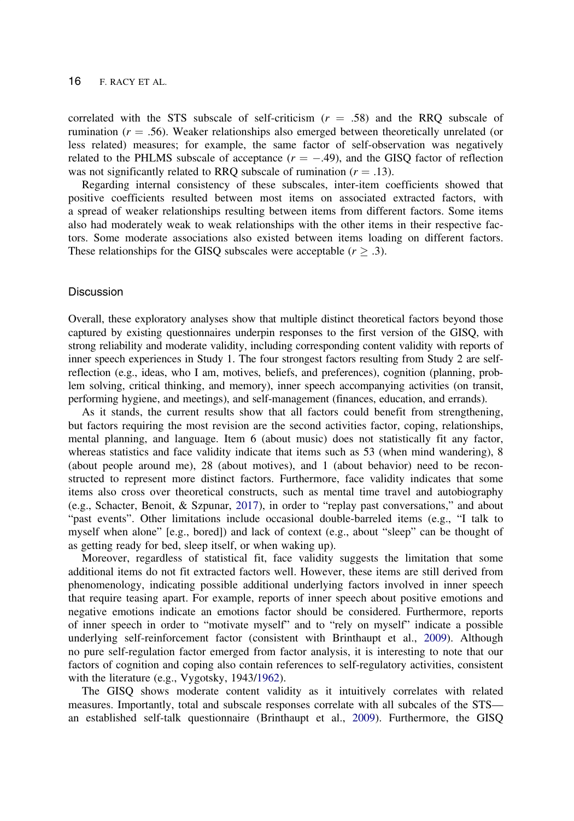<span id="page-15-0"></span>correlated with the STS subscale of self-criticism  $(r = .58)$  and the RRQ subscale of rumination  $(r = .56)$ . Weaker relationships also emerged between theoretically unrelated (or less related) measures; for example, the same factor of self-observation was negatively related to the PHLMS subscale of acceptance  $(r = -.49)$ , and the GISQ factor of reflection was not significantly related to RRQ subscale of rumination ( $r = .13$ ).

Regarding internal consistency of these subscales, inter-item coefficients showed that positive coefficients resulted between most items on associated extracted factors, with a spread of weaker relationships resulting between items from different factors. Some items also had moderately weak to weak relationships with the other items in their respective factors. Some moderate associations also existed between items loading on different factors. These relationships for the GISQ subscales were acceptable ( $r \geq .3$ ).

#### **Discussion**

Overall, these exploratory analyses show that multiple distinct theoretical factors beyond those captured by existing questionnaires underpin responses to the first version of the GISQ, with strong reliability and moderate validity, including corresponding content validity with reports of inner speech experiences in Study 1. The four strongest factors resulting from Study 2 are selfreflection (e.g., ideas, who I am, motives, beliefs, and preferences), cognition (planning, problem solving, critical thinking, and memory), inner speech accompanying activities (on transit, performing hygiene, and meetings), and self-management (finances, education, and errands).

As it stands, the current results show that all factors could benefit from strengthening, but factors requiring the most revision are the second activities factor, coping, relationships, mental planning, and language. Item 6 (about music) does not statistically fit any factor, whereas statistics and face validity indicate that items such as 53 (when mind wandering), 8 (about people around me), 28 (about motives), and 1 (about behavior) need to be reconstructed to represent more distinct factors. Furthermore, face validity indicates that some items also cross over theoretical constructs, such as mental time travel and autobiography (e.g., Schacter, Benoit, & Szpunar, [2017](#page-19-0)), in order to "replay past conversations," and about "past events". Other limitations include occasional double-barreled items (e.g., "I talk to myself when alone" [e.g., bored]) and lack of context (e.g., about "sleep" can be thought of as getting ready for bed, sleep itself, or when waking up).

Moreover, regardless of statistical fit, face validity suggests the limitation that some additional items do not fit extracted factors well. However, these items are still derived from phenomenology, indicating possible additional underlying factors involved in inner speech that require teasing apart. For example, reports of inner speech about positive emotions and negative emotions indicate an emotions factor should be considered. Furthermore, reports of inner speech in order to "motivate myself" and to "rely on myself" indicate a possible underlying self-reinforcement factor (consistent with Brinthaupt et al., [2009](#page-17-0)). Although no pure self-regulation factor emerged from factor analysis, it is interesting to note that our factors of cognition and coping also contain references to self-regulatory activities, consistent with the literature (e.g., Vygotsky, 1943[/1962](#page-19-0)).

The GISQ shows moderate content validity as it intuitively correlates with related measures. Importantly, total and subscale responses correlate with all subcales of the STS an established self-talk questionnaire (Brinthaupt et al., [2009](#page-17-0)). Furthermore, the GISQ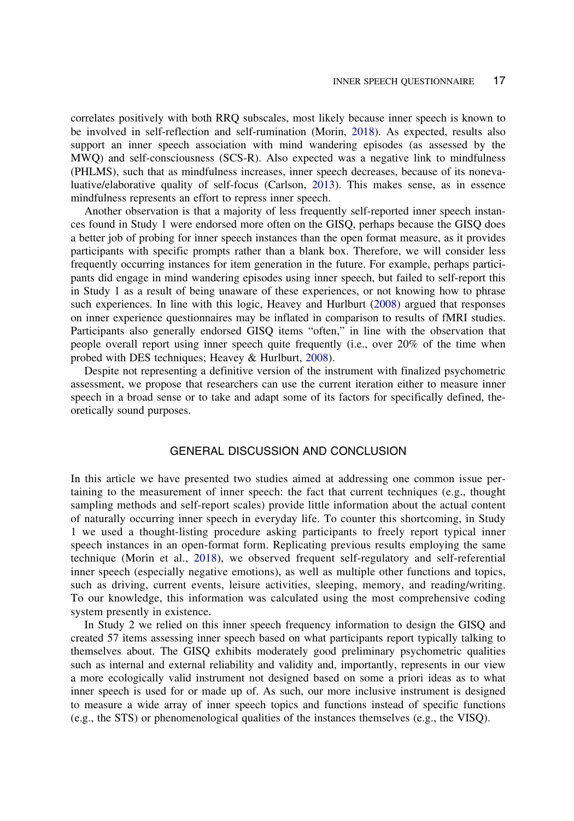<span id="page-16-0"></span>correlates positively with both RRQ subscales, most likely because inner speech is known to be involved in self-reflection and self-rumination (Morin, [2018\)](#page-18-0). As expected, results also support an inner speech association with mind wandering episodes (as assessed by the MWQ) and self-consciousness (SCS-R). Also expected was a negative link to mindfulness (PHLMS), such that as mindfulness increases, inner speech decreases, because of its nonevaluative/elaborative quality of self-focus (Carlson, [2013](#page-17-0)). This makes sense, as in essence mindfulness represents an effort to repress inner speech.

Another observation is that a majority of less frequently self-reported inner speech instances found in Study 1 were endorsed more often on the GISQ, perhaps because the GISQ does a better job of probing for inner speech instances than the open format measure, as it provides participants with specific prompts rather than a blank box. Therefore, we will consider less frequently occurring instances for item generation in the future. For example, perhaps participants did engage in mind wandering episodes using inner speech, but failed to self-report this in Study 1 as a result of being unaware of these experiences, or not knowing how to phrase such experiences. In line with this logic, Heavey and Hurlburt [\(2008](#page-18-0)) argued that responses on inner experience questionnaires may be inflated in comparison to results of fMRI studies. Participants also generally endorsed GISQ items "often," in line with the observation that people overall report using inner speech quite frequently (i.e., over 20% of the time when probed with DES techniques; Heavey & Hurlburt, [2008](#page-18-0)).

Despite not representing a definitive version of the instrument with finalized psychometric assessment, we propose that researchers can use the current iteration either to measure inner speech in a broad sense or to take and adapt some of its factors for specifically defined, theoretically sound purposes.

## GENERAL DISCUSSION AND CONCLUSION

In this article we have presented two studies aimed at addressing one common issue pertaining to the measurement of inner speech: the fact that current techniques (e.g., thought sampling methods and self-report scales) provide little information about the actual content of naturally occurring inner speech in everyday life. To counter this shortcoming, in Study 1 we used a thought-listing procedure asking participants to freely report typical inner speech instances in an open-format form. Replicating previous results employing the same technique (Morin et al., [2018\)](#page-18-0), we observed frequent self-regulatory and self-referential inner speech (especially negative emotions), as well as multiple other functions and topics, such as driving, current events, leisure activities, sleeping, memory, and reading/writing. To our knowledge, this information was calculated using the most comprehensive coding system presently in existence.

In Study 2 we relied on this inner speech frequency information to design the GISQ and created 57 items assessing inner speech based on what participants report typically talking to themselves about. The GISQ exhibits moderately good preliminary psychometric qualities such as internal and external reliability and validity and, importantly, represents in our view a more ecologically valid instrument not designed based on some a priori ideas as to what inner speech is used for or made up of. As such, our more inclusive instrument is designed to measure a wide array of inner speech topics and functions instead of specific functions (e.g., the STS) or phenomenological qualities of the instances themselves (e.g., the VISQ).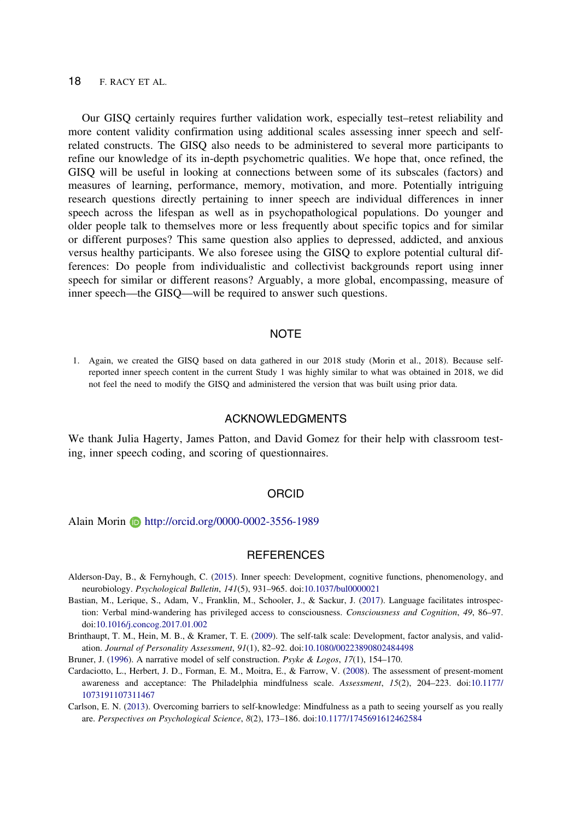<span id="page-17-0"></span>Our GISQ certainly requires further validation work, especially test–retest reliability and more content validity confirmation using additional scales assessing inner speech and selfrelated constructs. The GISQ also needs to be administered to several more participants to refine our knowledge of its in-depth psychometric qualities. We hope that, once refined, the GISQ will be useful in looking at connections between some of its subscales (factors) and measures of learning, performance, memory, motivation, and more. Potentially intriguing research questions directly pertaining to inner speech are individual differences in inner speech across the lifespan as well as in psychopathological populations. Do younger and older people talk to themselves more or less frequently about specific topics and for similar or different purposes? This same question also applies to depressed, addicted, and anxious versus healthy participants. We also foresee using the GISQ to explore potential cultural differences: Do people from individualistic and collectivist backgrounds report using inner speech for similar or different reasons? Arguably, a more global, encompassing, measure of inner speech—the GISQ—will be required to answer such questions.

## **NOTE**

1. Again, we created the GISQ based on data gathered in our 2018 study (Morin et al., 2018). Because selfreported inner speech content in the current Study 1 was highly similar to what was obtained in 2018, we did not feel the need to modify the GISQ and administered the version that was built using prior data.

## ACKNOWLEDGMENTS

We thank Julia Hagerty, James Patton, and David Gomez for their help with classroom testing, inner speech coding, and scoring of questionnaires.

#### ORCID

#### Alain Morin **b** http://orcid.org/0000-0002-3556-1989

#### **REFERENCES**

- Alderson-Day, B., & Fernyhough, C. [\(2015](#page-0-0)). Inner speech: Development, cognitive functions, phenomenology, and neurobiology. Psychological Bulletin, 141(5), 931–965. doi[:10.1037/bul0000021](https://doi.org/10.1037/bul0000021)
- Bastian, M., Lerique, S., Adam, V., Franklin, M., Schooler, J., & Sackur, J. ([2017\)](#page-6-0). Language facilitates introspection: Verbal mind-wandering has privileged access to consciousness. Consciousness and Cognition, 49, 86–97. doi[:10.1016/j.concog.2017.01.002](https://doi.org/10.1016/j.concog.2017.01.002)
- Brinthaupt, T. M., Hein, M. B., & Kramer, T. E. [\(2009](#page-1-0)). The self-talk scale: Development, factor analysis, and validation. Journal of Personality Assessment, 91(1), 82–92. doi:[10.1080/00223890802484498](https://doi.org/10.1080/00223890802484498)
- Bruner, J. ([1996\)](#page-6-0). A narrative model of self construction. *Psyke & Logos*, 17(1), 154–170.
- Cardaciotto, L., Herbert, J. D., Forman, E. M., Moitra, E., & Farrow, V. ([2008\)](#page-8-0). The assessment of present-moment awareness and acceptance: The Philadelphia mindfulness scale. Assessment, 15(2), 204–223. doi:[10.1177/](https://doi.org/10.1177/1073191107311467) [1073191107311467](https://doi.org/10.1177/1073191107311467)
- Carlson, E. N. [\(2013](#page-8-0)). Overcoming barriers to self-knowledge: Mindfulness as a path to seeing yourself as you really are. Perspectives on Psychological Science, 8(2), 173–186. doi[:10.1177/1745691612462584](https://doi.org/10.1177/1745691612462584)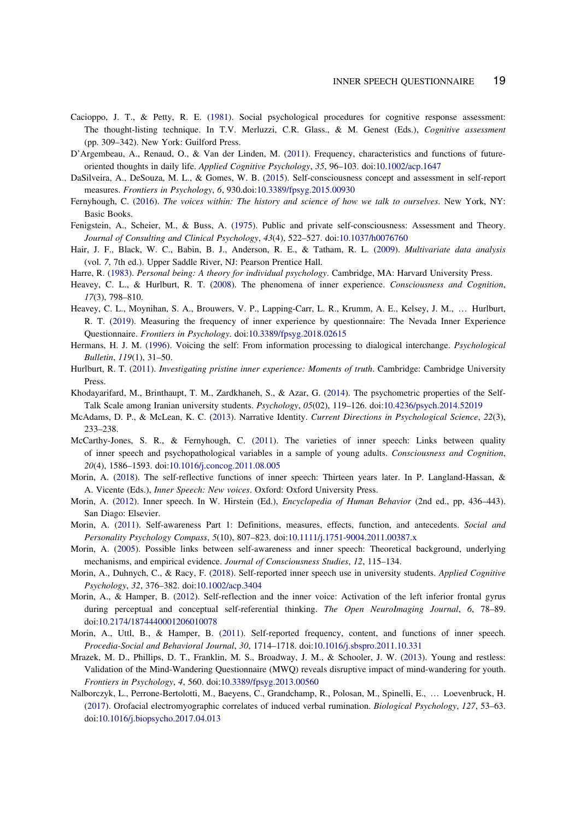- <span id="page-18-0"></span>Cacioppo, J. T., & Petty, R. E. ([1981\)](#page-1-0). Social psychological procedures for cognitive response assessment: The thought-listing technique. In T.V. Merluzzi, C.R. Glass., & M. Genest (Eds.), Cognitive assessment (pp. 309–342). New York: Guilford Press.
- D'Argembeau, A., Renaud, O., & Van der Linden, M. [\(2011](#page-1-0)). Frequency, characteristics and functions of future-oriented thoughts in daily life. Applied Cognitive Psychology, 35, 96-103. doi[:10.1002/acp.1647](https://doi.org/10.1002/acp.1647)
- DaSilveira, A., DeSouza, M. L., & Gomes, W. B. ([2015\)](#page-7-0). Self-consciousness concept and assessment in self-report measures. Frontiers in Psychology, 6, 930.doi:[10.3389/fpsyg.2015.00930](https://doi.org/10.3389/fpsyg.2015.00930)
- Fernyhough, C. [\(2016](#page-6-0)). The voices within: The history and science of how we talk to ourselves. New York, NY: Basic Books.
- Fenigstein, A., Scheier, M., & Buss, A. ([1975\)](#page-8-0). Public and private self-consciousness: Assessment and Theory. Journal of Consulting and Clinical Psychology, 43(4), 522–527. doi:[10.1037/h0076760](https://doi.org/10.1037/h0076760)
- Hair, J. F., Black, W. C., Babin, B. J., Anderson, R. E., & Tatham, R. L. ([2009\)](#page-12-0). Multivariate data analysis (vol. 7, 7th ed.). Upper Saddle River, NJ: Pearson Prentice Hall.
- Harre, R. [\(1983](#page-6-0)). Personal being: A theory for individual psychology. Cambridge, MA: Harvard University Press.
- Heavey, C. L., & Hurlburt, R. T. [\(2008](#page-16-0)). The phenomena of inner experience. Consciousness and Cognition, 17(3), 798–810.
- Heavey, C. L., Moynihan, S. A., Brouwers, V. P., Lapping-Carr, L. R., Krumm, A. E., Kelsey, J. M., … Hurlburt, R. T. ([2019\)](#page-8-0). Measuring the frequency of inner experience by questionnaire: The Nevada Inner Experience Questionnaire. Frontiers in Psychology. doi[:10.3389/fpsyg.2018.02615](https://doi.org/10.3389/fpsyg.2018.02615)
- Hermans, H. J. M. [\(1996](#page-6-0)). Voicing the self: From information processing to dialogical interchange. Psychological Bulletin, 119(1), 31–50.
- Hurlburt, R. T. [\(2011](#page-0-0)). Investigating pristine inner experience: Moments of truth. Cambridge: Cambridge University Press.
- Khodayarifard, M., Brinthaupt, T. M., Zardkhaneh, S., & Azar, G. ([2014](#page-8-0)). The psychometric properties of the Self-Talk Scale among Iranian university students. Psychology, 05(02), 119–126. doi:[10.4236/psych.2014.52019](https://doi.org/10.4236/psych.2014.52019)
- McAdams, D. P., & McLean, K. C. ([2013\)](#page-6-0). Narrative Identity. Current Directions in Psychological Science, 22(3), 233–238.
- McCarthy-Jones, S. R., & Fernyhough, C. ([2011\)](#page-1-0). The varieties of inner speech: Links between quality of inner speech and psychopathological variables in a sample of young adults. Consciousness and Cognition, 20(4), 1586–1593. doi:[10.1016/j.concog.2011.08.005](https://doi.org/10.1016/j.concog.2011.08.005)
- Morin, A. [\(2018](#page-6-0)). The self-reflective functions of inner speech: Thirteen years later. In P. Langland-Hassan, & A. Vicente (Eds.), Inner Speech: New voices. Oxford: Oxford University Press.
- Morin, A. ([2012\)](#page-1-0). Inner speech. In W. Hirstein (Ed.), Encyclopedia of Human Behavior (2nd ed., pp, 436–443). San Diago: Elsevier.
- Morin, A. [\(2011](#page-6-0)). Self-awareness Part 1: Definitions, measures, effects, function, and antecedents. Social and Personality Psychology Compass, 5(10), 807–823. doi:[10.1111/j.1751-9004.2011.00387.x](https://doi.org/10.1111/j.1751-9004.2011.00387.x)
- Morin, A. ([2005\)](#page-6-0). Possible links between self-awareness and inner speech: Theoretical background, underlying mechanisms, and empirical evidence. Journal of Consciousness Studies, 12, 115–134.
- Morin, A., Duhnych, C., & Racy, F. [\(2018](#page-2-0)). Self-reported inner speech use in university students. Applied Cognitive Psychology, 32, 376–382. doi:[10.1002/acp.3404](https://doi.org/10.1002/acp.3404)
- Morin, A., & Hamper, B. ([2012\)](#page-6-0). Self-reflection and the inner voice: Activation of the left inferior frontal gyrus during perceptual and conceptual self-referential thinking. The Open NeuroImaging Journal, 6, 78-89. doi:[10.2174/1874440001206010078](https://doi.org/10.2174/1874440001206010078)
- Morin, A., Uttl, B., & Hamper, B. [\(2011](#page-2-0)). Self-reported frequency, content, and functions of inner speech. Procedia-Social and Behavioral Journal, 30, 1714–1718. doi[:10.1016/j.sbspro.2011.10.331](https://doi.org/10.1016/j.sbspro.2011.10.331)
- Mrazek, M. D., Phillips, D. T., Franklin, M. S., Broadway, J. M., & Schooler, J. W. ([2013](#page-8-0)). Young and restless: Validation of the Mind-Wandering Questionnaire (MWQ) reveals disruptive impact of mind-wandering for youth. Frontiers in Psychology, 4, 560. doi:[10.3389/fpsyg.2013.00560](https://doi.org/10.3389/fpsyg.2013.00560)
- Nalborczyk, L., Perrone-Bertolotti, M., Baeyens, C., Grandchamp, R., Polosan, M., Spinelli, E., … Loevenbruck, H. ([2017\)](#page-7-0). Orofacial electromyographic correlates of induced verbal rumination. Biological Psychology, 127, 53–63. doi:[10.1016/j.biopsycho.2017.04.013](https://doi.org/10.1016/j.biopsycho.2017.04.013)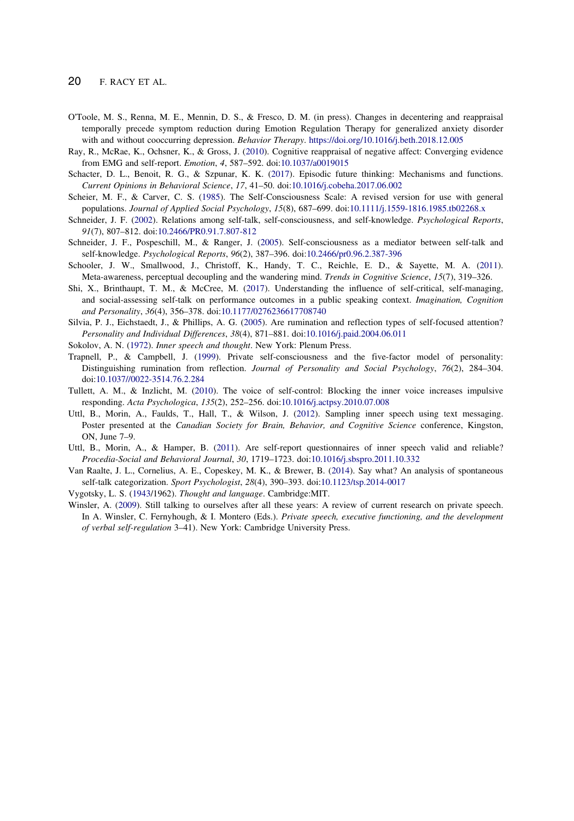- <span id="page-19-0"></span>O'Toole, M. S., Renna, M. E., Mennin, D. S., & Fresco, D. M. (in press). Changes in decentering and reappraisal temporally precede symptom reduction during Emotion Regulation Therapy for generalized anxiety disorder with and without cooccurring depression. Behavior Therapy. <https://doi.org/10.1016/j.beth.2018.12.005>
- Ray, R., McRae, K., Ochsner, K., & Gross, J. ([2010\)](#page-6-0). Cognitive reappraisal of negative affect: Converging evidence from EMG and self-report. Emotion, 4, 587–592. doi:[10.1037/a0019015](https://doi.org/10.1037/a0019015)
- Schacter, D. L., Benoit, R. G., & Szpunar, K. K. [\(2017](#page-15-0)). Episodic future thinking: Mechanisms and functions. Current Opinions in Behavioral Science, 17, 41–50. doi[:10.1016/j.cobeha.2017.06.002](https://doi.org/10.1016/j.cobeha.2017.06.002)
- Scheier, M. F., & Carver, C. S. [\(1985](#page-8-0)). The Self-Consciousness Scale: A revised version for use with general populations. Journal of Applied Social Psychology, 15(8), 687-699. doi[:10.1111/j.1559-1816.1985.tb02268.x](https://doi.org/10.1111/j.1559-1816.1985.tb02268.x)
- Schneider, J. F. [\(2002](#page-8-0)). Relations among self-talk, self-consciousness, and self-knowledge. Psychological Reports, 91(7), 807–812. doi:[10.2466/PR0.91.7.807-812](https://doi.org/10.2466/PR0.91.7.807-812)
- Schneider, J. F., Pospeschill, M., & Ranger, J. ([2005\)](#page-8-0). Self-consciousness as a mediator between self-talk and self-knowledge. Psychological Reports, 96(2), 387–396. doi[:10.2466/pr0.96.2.387-396](https://doi.org/10.2466/pr0.96.2.387-396)
- Schooler, J. W., Smallwood, J., Christoff, K., Handy, T. C., Reichle, E. D., & Sayette, M. A. [\(2011](#page-8-0)). Meta-awareness, perceptual decoupling and the wandering mind. *Trends in Cognitive Science*, 15(7), 319–326.
- Shi, X., Brinthaupt, T. M., & McCree, M. [\(2017](#page-8-0)). Understanding the influence of self-critical, self-managing, and social-assessing self-talk on performance outcomes in a public speaking context. Imagination, Cognition and Personality, 36(4), 356–378. doi[:10.1177/0276236617708740](https://doi.org/10.1177/0276236617708740)
- Silvia, P. J., Eichstaedt, J., & Phillips, A. G. [\(2005](#page-7-0)). Are rumination and reflection types of self-focused attention? Personality and Individual Differences, 38(4), 871–881. doi:[10.1016/j.paid.2004.06.011](https://doi.org/10.1016/j.paid.2004.06.011)
- Sokolov, A. N. [\(1972](#page-0-0)). Inner speech and thought. New York: Plenum Press.
- Trapnell, P., & Campbell, J. [\(1999](#page-7-0)). Private self-consciousness and the five-factor model of personality: Distinguishing rumination from reflection. Journal of Personality and Social Psychology, 76(2), 284–304. doi[:10.1037//0022-3514.76.2.284](https://doi.org/10.1037//0022-3514.76.2.284)
- Tullett, A. M., & Inzlicht, M. [\(2010](#page-0-0)). The voice of self-control: Blocking the inner voice increases impulsive responding. Acta Psychologica, 135(2), 252–256. doi[:10.1016/j.actpsy.2010.07.008](https://doi.org/10.1016/j.actpsy.2010.07.008)
- Uttl, B., Morin, A., Faulds, T., Hall, T., & Wilson, J. ([2012\)](#page-2-0). Sampling inner speech using text messaging. Poster presented at the Canadian Society for Brain, Behavior, and Cognitive Science conference, Kingston, ON, June 7–9.
- Uttl, B., Morin, A., & Hamper, B. [\(2011](#page-1-0)). Are self-report questionnaires of inner speech valid and reliable? Procedia-Social and Behavioral Journal, 30, 1719–1723. doi[:10.1016/j.sbspro.2011.10.332](https://doi.org/10.1016/j.sbspro.2011.10.332)
- Van Raalte, J. L., Cornelius, A. E., Copeskey, M. K., & Brewer, B. [\(2014](#page-1-0)). Say what? An analysis of spontaneous self-talk categorization. Sport Psychologist, 28(4), 390–393. doi:[10.1123/tsp.2014-0017](https://doi.org/10.1123/tsp.2014-0017)
- Vygotsky, L. S. [\(1943](#page-6-0)/1962). Thought and language. Cambridge:MIT.
- Winsler, A. ([2009\)](#page-6-0). Still talking to ourselves after all these years: A review of current research on private speech. In A. Winsler, C. Fernyhough, & I. Montero (Eds.). Private speech, executive functioning, and the development of verbal self-regulation 3–41). New York: Cambridge University Press.